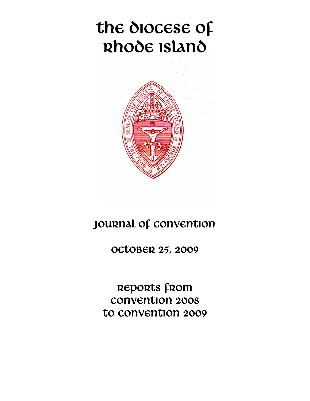# the diocese of Rhode Island



## JOURNAL OF CONVENTION

OCTOBER 25, 2009

REPORTS from Convention 2008 to convention 2009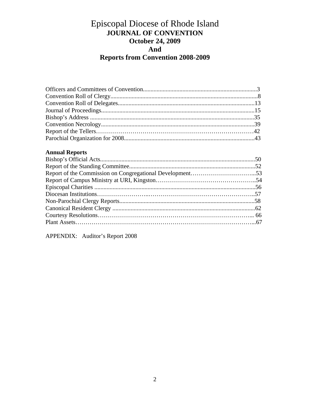### Episcopal Diocese of Rhode Island **JOURNAL OF CONVENTION October 24, 2009 And Reports from Convention 2008-2009**

#### **Annual Reports**

APPENDIX: Auditor's Report 2008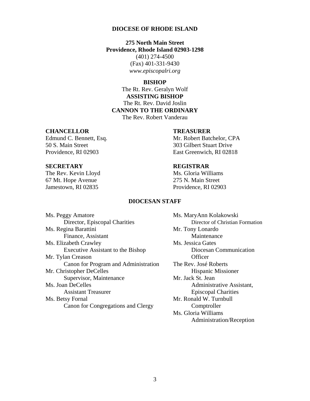#### **DIOCESE OF RHODE ISLAND**

#### **275 North Main Street Providence, Rhode Island 02903-1298**

(401) 274-4500 (Fax) 401-331-9430 *www.episcopalri.org* 

#### **BISHOP**

The Rt. Rev. Geralyn Wolf **ASSISTING BISHOP**  The Rt. Rev. David Joslin **CANNON TO THE ORDINARY**  The Rev. Robert Vanderau

#### **CHANCELLOR TREASURER**

50 S. Main Street 303 Gilbert Stuart Drive

The Rev. Kevin Lloyd Ms. Gloria Williams 67 Mt. Hope Avenue 275 N. Main Street Jamestown, RI 02835 Providence, RI 02903

Edmund C. Bennett, Esq. Mr. Robert Batchelor, CPA Providence, RI 02903 East Greenwich, RI 02818

#### **SECRETARY REGISTRAR**

#### **DIOCESAN STAFF**

| Ms. Peggy Amatore                    | Ms. MaryAnn I    |
|--------------------------------------|------------------|
| Director, Episcopal Charities        | Director         |
| Ms. Regina Barattini                 | Mr. Tony Lona    |
| Finance, Assistant                   | Mainter          |
| Ms. Elizabeth Crawley                | Ms. Jessica Gat  |
| Executive Assistant to the Bishop    | Diocesa          |
| Mr. Tylan Creason                    | Officer          |
| Canon for Program and Administration | The Rev. José I  |
| Mr. Christopher DeCelles             | Hispani          |
| Supervisor, Maintenance              | Mr. Jack St. Jea |
| Ms. Joan DeCelles                    | Admini           |
| <b>Assistant Treasurer</b>           | Episcop          |
| Ms. Betsy Fornal                     | Mr. Ronald W.    |
| Canon for Congregations and Clergy   | Comptr           |
|                                      |                  |

Ms. MaryAnn Kolakowski Director of Christian Formation Mr. Tony Lonardo **Maintenance** Ms. Jessica Gates Diocesan Communication The Rev. José Roberts Hispanic Missioner Mr. Jack St. Jean Administrative Assistant, **Episcopal Charities** Mr. Ronald W. Turnbull Comptroller Ms. Gloria Williams Administration/Reception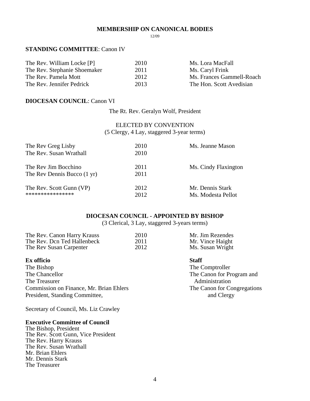#### **MEMBERSHIP ON CANONICAL BODIES**

12/09

#### **STANDING COMMITTEE**: Canon IV

| The Rev. William Locke [P]   | 2010 | Ms. Lora MacFall          |
|------------------------------|------|---------------------------|
| The Rev. Stephanie Shoemaker | 2011 | Ms. Caryl Frink           |
| The Rev. Pamela Mott         | 2012 | Ms. Frances Gammell-Roach |
| The Rev. Jennifer Pedrick    | 2013 | The Hon. Scott Avedisian  |

#### **DIOCESAN COUNCIL**: Canon VI

The Rt. Rev. Geralyn Wolf, President

#### ELECTED BY CONVENTION (5 Clergy, 4 Lay, staggered 3-year terms)

| The Rev Greg Lisby          | 2010 | Ms. Jeanne Mason     |
|-----------------------------|------|----------------------|
| The Rev. Susan Wrathall     | 2010 |                      |
| The Rev Jim Bocchino        | 2011 | Ms. Cindy Flaxington |
| The Rev Dennis Bucco (1 yr) | 2011 |                      |
| The Rev. Scott Gunn (VP)    | 2012 | Mr. Dennis Stark     |
| ****************            | 2012 | Ms. Modesta Pellot   |

#### **DIOCESAN COUNCIL - APPOINTED BY BISHOP**

(3 Clerical, 3 Lay, staggered 3-years terms)

| The Rev. Canon Harry Krauss | 2010 | Mr. Jim Rezendes |
|-----------------------------|------|------------------|
| The Rev. Dcn Ted Hallenbeck | 2011 | Mr. Vince Haight |
| The Rev Susan Carpenter     | 2012 | Ms. Susan Wright |

#### **Ex officio** Staff

The Bishop The Comptroller<br>The Chancellor The Canon for Pr The Treasurer Administration Commission on Finance, Mr. Brian Ehlers The Canon for Congregations President, Standing Committee, and Clergy

Secretary of Council, Ms. Liz Crawley

#### **Executive Committee of Council**

The Bishop, President The Rev. Scott Gunn, Vice President The Rev. Harry Krauss The Rev. Susan Wrathall Mr. Brian Ehlers Mr. Dennis Stark The Treasurer

The Canon for Program and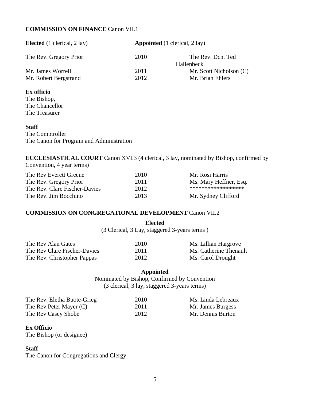#### **COMMISSION ON FINANCE** Canon VII.1

| <b>Elected</b> (1 clerical, 2 lay) | <b>Appointed</b> (1 clerical, 2 lay) |                         |
|------------------------------------|--------------------------------------|-------------------------|
| The Rev. Gregory Prior             | 2010                                 | The Rev. Dcn. Ted       |
|                                    |                                      | Hallenbeck              |
| Mr. James Worrell                  | 2011                                 | Mr. Scott Nicholson (C) |
| Mr. Robert Bergstrand              | 2012                                 | Mr. Brian Ehlers        |
|                                    |                                      |                         |

**Ex officio** 

The Bishop, The Chancellor The Treasurer

#### **Staff**

The Comptroller The Canon for Program and Administration

**ECCLESIASTICAL COURT** Canon XVI.3 (4 clerical, 3 lay, nominated by Bishop, confirmed by Convention, 4 year terms)

| The Rev Everett Greene        | 2010 | Mr. Rosi Harris        |
|-------------------------------|------|------------------------|
| The Rev. Gregory Prior        | 2011 | Ms. Mary Heffner, Esq. |
| The Rev. Clare Fischer-Davies | 2012 | ******************     |
| The Rev. Jim Bocchino         | 2013 | Mr. Sydney Clifford    |

#### **COMMISSION ON CONGREGATIONAL DEVELOPMENT** Canon VII.2

|                              | (3 Clerical, 3 Lay, staggered 3-years terms) |                        |
|------------------------------|----------------------------------------------|------------------------|
| The Rev Alan Gates           | 2010                                         | Ms. Lillian Hargrove   |
| The Rev Clare Fischer-Davies | 2011                                         | Ms. Catherine Thenault |
| The Rev. Christopher Pappas  | 2012                                         | Ms. Carol Drought      |

**Appointed** 

**Elected** 

Nominated by Bishop, Confirmed by Convention (3 clerical, 3 lay, staggered 3-years terms)

| The Rev. Eletha Buote-Grieg | 2010 | Ms. Linda Lebreaux |
|-----------------------------|------|--------------------|
| The Rev Peter Mayer (C)     | 2011 | Mr. James Burgess  |
| The Rev Casey Shobe         | 2012 | Mr. Dennis Burton  |

#### **Ex Officio**

The Bishop (or designee)

#### **Staff**

The Canon for Congregations and Clergy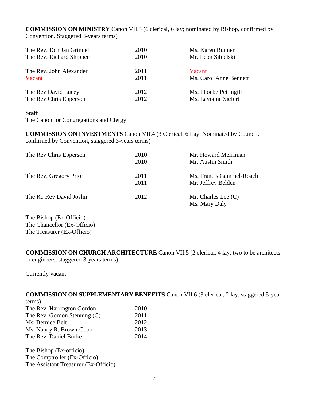**COMMISSION ON MINISTRY** Canon VII.3 (6 clerical, 6 lay; nominated by Bishop, confirmed by Convention. Staggered 3-years terms)

| The Rev. Don Jan Grinnell | 2010 | Ms. Karen Runner       |
|---------------------------|------|------------------------|
| The Rev. Richard Shippee  | 2010 | Mr. Leon Sibielski     |
| The Rev. John Alexander   | 2011 | Vacant                 |
| Vacant                    | 2011 | Ms. Carol Anne Bennett |
| The Rev David Lucey       | 2012 | Ms. Phoebe Pettingill  |
| The Rev Chris Epperson    | 2012 | Ms. Lavonne Siefert    |

#### **Staff**

The Canon for Congregations and Clergy

**COMMISSION ON INVESTMENTS** Canon VII.4 (3 Clerical, 6 Lay. Nominated by Council, confirmed by Convention, staggered 3-years terms)

| The Rev Chris Epperson   | 2010<br>2010 | Mr. Howard Merriman<br>Mr. Austin Smith        |
|--------------------------|--------------|------------------------------------------------|
| The Rev. Gregory Prior   | 2011<br>2011 | Ms. Francis Gammel-Roach<br>Mr. Jeffrey Belden |
| The Rt. Rev David Joslin | 2012         | Mr. Charles Lee $(C)$<br>Ms. Mary Daly         |

The Bishop (Ex-Officio) The Chancellor (Ex-Officio) The Treasurer (Ex-Officio)

**COMMISSION ON CHURCH ARCHITECTURE** Canon VII.5 (2 clerical, 4 lay, two to be architects or engineers, staggered 3-years terms)

Currently vacant

#### **COMMISSION ON SUPPLEMENTARY BENEFITS** Canon VII.6 (3 clerical, 2 lay, staggered 5-year terms)

| ternin)                        |      |
|--------------------------------|------|
| The Rev. Harrington Gordon     | 2010 |
| The Rev. Gordon Stenning $(C)$ | 2011 |
| Ms. Bernice Belt               | 2012 |
| Ms. Nancy R. Brown-Cobb        | 2013 |
| The Rev. Daniel Burke          | 2014 |

The Bishop (Ex-officio) The Comptroller (Ex-Officio) The Assistant Treasurer (Ex-Officio)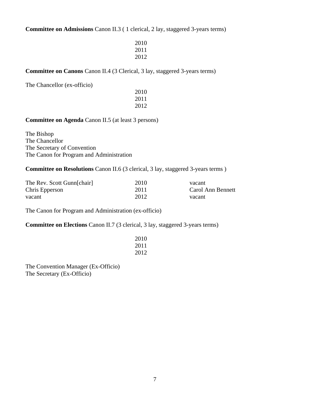**Committee on Admissions** Canon II.3 ( 1 clerical, 2 lay, staggered 3-years terms)

| 2010 |
|------|
| 2011 |
| 2012 |

#### **Committee on Canons** Canon II.4 (3 Clerical, 3 lay, staggered 3-years terms)

The Chancellor (ex-officio)

 2010 2011 2012

**Committee on Agenda** Canon II.5 (at least 3 persons)

The Bishop The Chancellor The Secretary of Convention The Canon for Program and Administration

**Committee on Resolutions** Canon II.6 (3 clerical, 3 lay, staggered 3-years terms )

| The Rev. Scott Gunn[chair] | 2010 | vacant            |
|----------------------------|------|-------------------|
| Chris Epperson             | 2011 | Carol Ann Bennett |
| vacant                     | 2012 | vacant            |

The Canon for Program and Administration (ex-officio)

**Committee on Elections** Canon II.7 (3 clerical, 3 lay, staggered 3-years terms)

| 2010 |
|------|
| 2011 |
| 2012 |

The Convention Manager (Ex-Officio) The Secretary (Ex-Officio)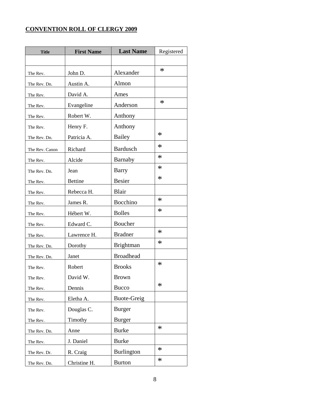### **CONVENTION ROLL OF CLERGY 2009**

| <b>Title</b>   | <b>First Name</b> | <b>Last Name</b>   | Registered |
|----------------|-------------------|--------------------|------------|
|                |                   |                    |            |
| The Rev.       | John D.           | Alexander          | $\ast$     |
| The Rev. Dn.   | Austin A.         | Almon              |            |
| The Rev.       | David A.          | Ames               |            |
| The Rev.       | Evangeline        | Anderson           | $\ast$     |
| The Rev.       | Robert W.         | Anthony            |            |
| The Rev.       | Henry F.          | Anthony            |            |
| The Rev. Dn.   | Patricia A.       | Bailey             | $\ast$     |
| The Rev. Canon | Richard           | <b>Bardusch</b>    | $\ast$     |
| The Rev.       | Alcide            | Barnaby            | $\ast$     |
| The Rev. Dn.   | Jean              | <b>Barry</b>       | $\ast$     |
| The Rev.       | <b>Bettine</b>    | <b>Besier</b>      | $\ast$     |
| The Rev.       | Rebecca H.        | Blair              |            |
| The Rev.       | James R.          | Bocchino           | $\ast$     |
| The Rev.       | Hébert W.         | <b>Bolles</b>      | $\ast$     |
| The Rev.       | Edward C.         | Boucher            |            |
| The Rev.       | Lawrence H.       | <b>Bradner</b>     | $\ast$     |
| The Rev. Dn.   | Dorothy           | <b>Brightman</b>   | $\ast$     |
| The Rev. Dn.   | Janet             | <b>Broadhead</b>   |            |
| The Rev.       | Robert            | <b>Brooks</b>      | $\ast$     |
| The Rev.       | David W.          | <b>Brown</b>       |            |
| The Rev.       | Dennis            | <b>Bucco</b>       | $\ast$     |
| The Rev.       | Eletha A.         | <b>Buote-Greig</b> |            |
| The Rev.       | Douglas C.        | <b>Burger</b>      |            |
| The Rev.       | Timothy           | <b>Burger</b>      |            |
| The Rev. Dn.   | Anne              | <b>Burke</b>       | $\ast$     |
| The Rev.       | J. Daniel         | <b>Burke</b>       |            |
| The Rev. Dr.   | R. Craig          | <b>Burlington</b>  | $\ast$     |
| The Rev. Dn.   | Christine H.      | <b>Burton</b>      | $\ast$     |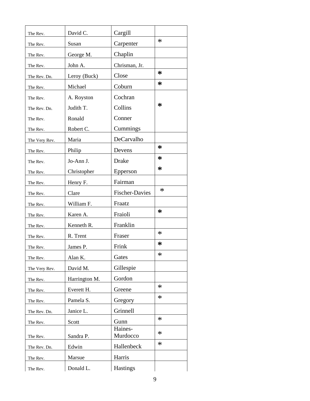| The Rev.      | David C.      | Cargill               |        |
|---------------|---------------|-----------------------|--------|
| The Rev.      | Susan         | Carpenter             | $\ast$ |
| The Rev.      | George M.     | Chaplin               |        |
| The Rev.      | John A.       | Chrisman, Jr.         |        |
| The Rev. Dn.  | Leroy (Buck)  | Close                 | ∗      |
| The Rev.      | Michael       | Coburn                | ∗      |
| The Rev.      | A. Royston    | Cochran               |        |
| The Rev. Dn.  | Judith T.     | Collins               | ∗      |
| The Rev.      | Ronald        | Conner                |        |
| The Rev.      | Robert C.     | Cummings              |        |
| The Very Rev. | Maria         | DeCarvalho            |        |
| The Rev.      | Philip        | Devens                | ∗      |
| The Rev.      | Jo-Ann J.     | Drake                 | ∗      |
| The Rev.      | Christopher   | Epperson              | ∗      |
| The Rev.      | Henry F.      | Fairman               |        |
| The Rev.      | Clare         | <b>Fischer-Davies</b> | $\ast$ |
| The Rev.      | William F.    | Fraatz                |        |
| The Rev.      | Karen A.      | Fraioli               | ∗      |
| The Rev.      | Kenneth R.    | Franklin              |        |
| The Rev.      | R. Trent      | Fraser                | $\ast$ |
| The Rev.      | James P.      | Frink                 | ∗      |
| The Rev.      | Alan K.       | Gates                 | ∗      |
| The Very Rev. | David M.      | Gillespie             |        |
| The Rev.      | Harrington M. | Gordon                |        |
| The Rev.      | Everett H.    | Greene                | $\ast$ |
| The Rev.      | Pamela S.     | Gregory               | $\ast$ |
| The Rev. Dn.  | Janice L.     | Grinnell              |        |
| The Rev.      | Scott         | Gunn                  | $\ast$ |
|               |               | Haines-               | $\ast$ |
| The Rev.      | Sandra P.     | Murdocco              | $\ast$ |
| The Rev. Dn.  | Edwin         | Hallenbeck            |        |
| The Rev.      | Marsue        | Harris                |        |
| The Rev.      | Donald L.     | Hastings              |        |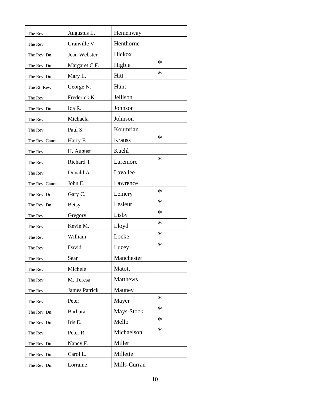| The Rev.       | Augustus L.          | Hemenway      |        |
|----------------|----------------------|---------------|--------|
| The Rev.       | Granville V.         | Henthorne     |        |
| The Rev. Dn.   | Jean Webster         | Hickox        |        |
| The Rev. Dn.   | Margaret C.F.        | Higbie        | $\ast$ |
| The Rev. Dn.   | Mary L.              | Hitt          | $\ast$ |
| The Rt. Rev.   | George N.            | Hunt          |        |
| The Rev.       | Frederick K.         | Jellison      |        |
| The Rev. Dn.   | Ida R.               | Johnson       |        |
| The Rev.       | Michaela             | Johnson       |        |
| The Rev.       | Paul S.              | Koumrian      |        |
| The Rev. Canon | Harry E.             | <b>Krauss</b> | $\ast$ |
| The Rev.       | H. August            | Kuehl         |        |
| The Rev.       | Richard T.           | Laremore      | $\ast$ |
| The Rev.       | Donald A.            | Lavallee      |        |
| The Rev. Canon | John E.              | Lawrence      |        |
| The Rev. Dr.   | Gary C.              | Lemery        | $\ast$ |
| The Rev. Dn.   | <b>Betsy</b>         | Lesieur       | $\ast$ |
| The Rev.       | Gregory              | Lisby         | $\ast$ |
| The Rev.       | Kevin M.             | Lloyd         | $\ast$ |
| The Rev.       | William              | Locke         | $\ast$ |
| The Rev.       | David                | Lucey         | $\ast$ |
| The Rev.       | Sean                 | Manchester    |        |
| The Rev.       | Michele              | Matott        |        |
| The Rev.       | M. Teresa            | Matthews      |        |
| The Rev.       | <b>James Patrick</b> | Mauney        |        |
| The Rev.       | Peter                | Mayer         | $\ast$ |
| The Rev. Dn.   | Barbara              | Mays-Stock    | $\ast$ |
| The Rev. Dn.   | Iris E.              | Mello         | $\ast$ |
| The Rev.       | Peter R.             | Michaelson    | $\ast$ |
| The Rev. Dn.   | Nancy F.             | Miller        |        |
| The Rev. Dn.   | Carol L.             | Millette      |        |
| The Rev. Dn.   | Lorraine             | Mills-Curran  |        |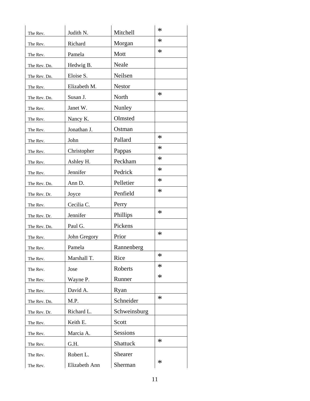| The Rev.     | Judith N.     | Mitchell      | $\ast$ |
|--------------|---------------|---------------|--------|
| The Rev.     | Richard       | Morgan        | $\ast$ |
| The Rev.     | Pamela        | Mott          | $\ast$ |
| The Rev. Dn. | Hedwig B.     | Neale         |        |
| The Rev. Dn. | Eloise S.     | Neilsen       |        |
| The Rev.     | Elizabeth M.  | <b>Nestor</b> |        |
| The Rev. Dn. | Susan J.      | North         | $\ast$ |
| The Rev.     | Janet W.      | Nunley        |        |
| The Rev.     | Nancy K.      | Olmsted       |        |
| The Rev.     | Jonathan J.   | Ostman        |        |
| The Rev.     | John          | Pallard       | $\ast$ |
| The Rev.     | Christopher   | Pappas        | $\ast$ |
| The Rev.     | Ashley H.     | Peckham       | $\ast$ |
| The Rev.     | Jennifer      | Pedrick       | $\ast$ |
| The Rev. Dn. | Ann D.        | Pelletier     | $\ast$ |
| The Rev. Dr. | Joyce         | Penfield      | $\ast$ |
| The Rev.     | Cecilia C.    | Perry         |        |
| The Rev. Dr. | Jennifer      | Phillips      | $\ast$ |
| The Rev. Dn. | Paul G.       | Pickens       |        |
| The Rev.     | John Gregory  | Prior         | $\ast$ |
| The Rev.     | Pamela        | Rannenberg    |        |
| The Rev.     | Marshall T.   | Rice          | ∗      |
| The Rev.     | Jose          | Roberts       | $\ast$ |
| The Rev.     | Wayne P.      | Runner        | $\ast$ |
| The Rev.     | David A.      | Ryan          |        |
| The Rev. Dn. | M.P.          | Schneider     | $\ast$ |
| The Rev. Dr. | Richard L.    | Schweinsburg  |        |
| The Rev.     | Keith E.      | Scott         |        |
| The Rev.     | Marcia A.     | Sessions      |        |
| The Rev.     | G.H.          | Shattuck      | $\ast$ |
| The Rev.     | Robert L.     | Shearer       |        |
| The Rev.     | Elizabeth Ann | Sherman       | $\ast$ |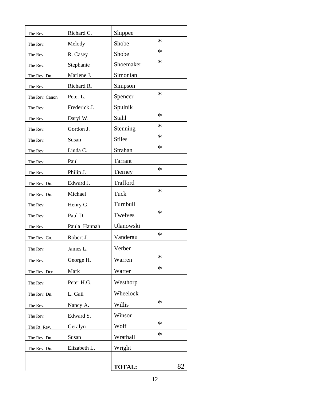| The Rev.       | Richard C.   | Shippee       |        |
|----------------|--------------|---------------|--------|
| The Rev.       | Melody       | Shobe         | $\ast$ |
| The Rev.       | R. Casey     | Shobe         | $\ast$ |
| The Rev.       | Stephanie    | Shoemaker     | $\ast$ |
| The Rev. Dn.   | Marlene J.   | Simonian      |        |
| The Rev.       | Richard R.   | Simpson       |        |
| The Rev. Canon | Peter L.     | Spencer       | $\ast$ |
| The Rev.       | Frederick J. | Spulnik       |        |
| The Rev.       | Daryl W.     | Stahl         | $\ast$ |
| The Rev.       | Gordon J.    | Stenning      | $\ast$ |
| The Rev.       | Susan        | <b>Stiles</b> | $\ast$ |
| The Rev.       | Linda C.     | Strahan       | $\ast$ |
| The Rev.       | Paul         | Tarrant       |        |
| The Rev.       | Philip J.    | Tierney       | $\ast$ |
| The Rev. Dn.   | Edward J.    | Trafford      |        |
| The Rev. Dn.   | Michael      | Tuck          | $\ast$ |
| The Rev.       | Henry G.     | Turnbull      |        |
| The Rev.       | Paul D.      | Twelves       | $\ast$ |
| The Rev.       | Paula Hannah | Ulanowski     |        |
| The Rev. Cn.   | Robert J.    | Vanderau      | $\ast$ |
| The Rev.       | James L.     | Verber        |        |
| The Rev.       | George H.    | Warren        | $\ast$ |
| The Rev. Dcn.  | Mark         | Warter        | $\ast$ |
| The Rev.       | Peter H.G.   | Westhorp      |        |
| The Rev. Dn.   | L. Gail      | Wheelock      |        |
| The Rev.       | Nancy A.     | Willis        | $\ast$ |
| The Rev.       | Edward S.    | Winsor        |        |
| The Rt. Rev.   | Geralyn      | Wolf          | $\ast$ |
| The Rev. Dn.   | Susan        | Wrathall      | $\ast$ |
| The Rev. Dn.   | Elizabeth L. | Wright        |        |
|                |              |               |        |
|                |              | <b>TOTAL:</b> | 82     |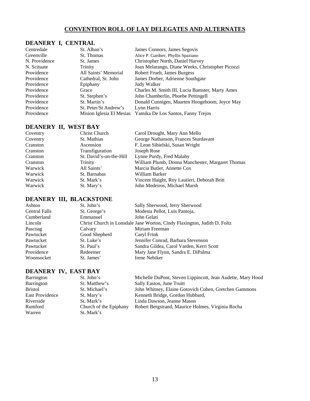#### **CONVENTION ROLL OF LAY DELEGATES AND ALTERNATES**

#### **DEANERY I, CENTRAL**

| Centredale    | St. Alban's              | James Connors, James Segovis                     |
|---------------|--------------------------|--------------------------------------------------|
| Greenville    | St. Thomas               | Alice P. Gardner, Phyllis Spaziano               |
| N. Providence | St. James                | Christopher North, Daniel Harvey                 |
| N. Scituate   | Trinity                  | Joan Melarango, Diane Weeks, Christopher Picozzi |
| Providence    | All Saints' Memorial     | Robert Frueh, James Burgess                      |
| Providence    | Cathedral, St. John      | James Dorber, Adrienne Southgate                 |
| Providence    | Epiphany                 | Judy Walker                                      |
| Providence    | Grace                    | Charles M. Smith III, Lucia Bamster, Marty Ames  |
| Providence    | St. Stephen's            | John Chamberlin, Phoebe Pettingell               |
| Providence    | St. Martin's             | Donald Cunnigen, Maarten Hoogeboom, Joyce May    |
| Providence    | St. Peter/St Andrew's    | Lynn Harris                                      |
| Providence    | Mision Iglesia El Mesias | Yamika De Los Santos, Fanny Trejos               |

#### **DEANERY II, WEST BAY**

| Coventry | Christ Church           | Carol Drought, Mary Ann Mello                    |
|----------|-------------------------|--------------------------------------------------|
| Coventry | St. Mathias             | George Nathanson, Frances Sturdavant             |
| Cranston | Ascension               | F. Leon Sibielski, Susan Wright                  |
| Cranston | Transfiguration         | Joseph Rose                                      |
| Cranston | St. David's-on-the-Hill | Lynne Purdy, Fred Malaby                         |
| Cranston | <b>Trinity</b>          | William Plumb, Donna Manchester, Margaret Thomas |
| Warwick  | All Saints'             | Marcia Butler, Annette Cox                       |
| Warwick  | St. Barnabas            | William Barker                                   |
| Warwick  | St. Mark's              | Vincent Haight, Roy Lautieri, Deborah Britt      |
| Warwick  | St. Mary's              | John Medeiros, Michael Marsh                     |

#### **DEANERY III, BLACKSTONE**

| Ashton               | St. John's    | Sally Sherwood, Jerry Sherwood                                           |
|----------------------|---------------|--------------------------------------------------------------------------|
| <b>Central Falls</b> | St. George's  | Modesta Pellot, Luis Pantoja,                                            |
| Cumberland           | Emmanuel      | John Gelati                                                              |
| Lincoln              |               | Christ Church in Lonsdale Jane Worton, Cindy Flaxington, Judith D. Foltz |
| Pascoag              | Calvary       | Miriam Freeman                                                           |
| Pawtucket            | Good Shepherd | Caryl Frink                                                              |
| Pawtucket            | St. Luke's    | Jennifer Conrad, Barbara Stevenson                                       |
| Pawtucket            | St. Paul's    | Sandra Gildea, Carol Varden, Kerri Scott                                 |
| Providence           | Redeemer      | Mary Jane Flynn, Sandra E. DiPalma                                       |
| Woonsocket           | St. James'    | Irene Nebiker                                                            |

#### **DEANERY IV, EAST BAY**

| St. John's             | Michelle DuPont, Steven Lippincott, Jean Audette, Mary Hood |
|------------------------|-------------------------------------------------------------|
| St. Matthew's          | Sally Easton, June Truitt                                   |
| St. Michael's          | John Whitney, Elaine Gotovich Cohen, Gretchen Gammons       |
| St. Mary's             | Kenneth Bridge, Gordon Hubbard,                             |
| St. Mark's             | Linda Dawson, Jeanne Mason                                  |
| Church of the Epiphany | Robert Bergstrand, Maurice Holmes, Virginia Rocha           |
| St. Mark's             |                                                             |
|                        |                                                             |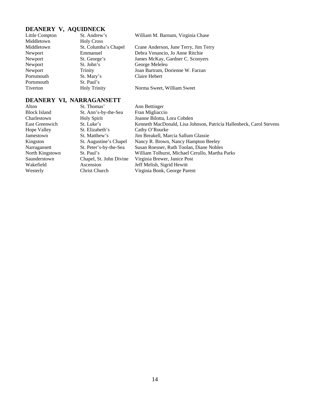| DEANERY V, AQUIDNECK |                      |                                       |
|----------------------|----------------------|---------------------------------------|
| Little Compton       | St. Andrew's         | William M. Barnum, Virginia Chase     |
| Middletown           | <b>Holy Cross</b>    |                                       |
| Middletown           | St. Columba's Chapel | Crane Anderson, June Terry, Jim Terry |
| Newport              | Emmanuel             | Debra Venancio, Jo Anne Ritchie       |
| Newport              | St. George's         | James McKay, Gardner C. Sconyers      |
| Newport              | St. John's           | George Meleleu                        |
| Newport              | Trinity              | Joan Bartram, Dorienne W. Farzan      |
| Portsmouth           | St. Mary's           | Claire Hebert                         |
| Portsmouth           | St. Paul's           |                                       |
| Tiverton             | <b>Holy Trinity</b>  | Norma Sweet, William Sweet            |

## **DEANERY VI, NARRAGANSETT**<br>Alton St. Thomas'

| St. Thomas'             | Ann Bettinger                                                       |
|-------------------------|---------------------------------------------------------------------|
| St. Ann's-by-the-Sea    | Fran Migliaccio                                                     |
| <b>Holy Spirit</b>      | Joanne Bilotta, Lora Cobden                                         |
| St. Luke's              | Kenneth MacDonald, Lisa Johnson, Patricia Hallenbeck, Carol Stevens |
| St. Elizabeth's         | Cathy O'Rourke                                                      |
| St. Matthew's           | Jim Breakell, Marcia Sallum Glassie                                 |
| St. Augustine's Chapel  | Nancy R. Brown, Nancy Hampton Beeley                                |
| St. Peter's-by-the-Sea  | Susan Roesner, Ruth Toolan, Diane Nobles                            |
| St. Paul's              | William Tolhurst, Michael Cerullo, Martha Parks                     |
| Chapel, St. John Divine | Virginia Brewer, Janice Post                                        |
| Ascension               | Jeff Melish, Sigrid Hewitt                                          |
| Christ Church           | Virginia Bonk, George Parent                                        |
|                         |                                                                     |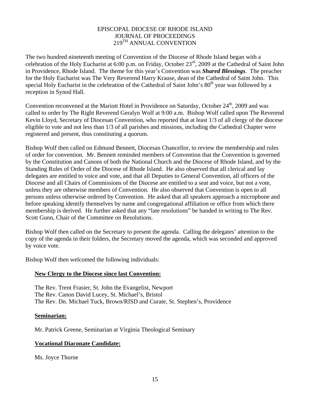#### EPISCOPAL DIOCESE OF RHODE ISLAND JOURNAL OF PROCEEDINGS 219TH ANNUAL CONVENTION

The two hundred nineteenth meeting of Convention of the Diocese of Rhode Island began with a celebration of the Holy Eucharist at 6:00 p.m. on Friday, October 23rd, 2009 at the Cathedral of Saint John in Providence, Rhode Island. The theme for this year's Convention was *Shared Blessings*. The preacher for the Holy Eucharist was The Very Reverend Harry Krause, dean of the Cathedral of Saint John. This special Holy Eucharist in the celebration of the Cathedral of Saint John's  $80<sup>th</sup>$  year was followed by a reception in Synod Hall.

Convention reconvened at the Mariott Hotel in Providence on Saturday, October 24<sup>th</sup>, 2009 and was called to order by The Right Reverend Geralyn Wolf at 9:00 a.m. Bishop Wolf called upon The Reverend Kevin Lloyd, Secretary of Diocesan Convention, who reported that at least 1/3 of all clergy of the diocese eligible to vote and not less than 1/3 of all parishes and missions, including the Cathedral Chapter were registered and present, thus constituting a quorum.

Bishop Wolf then called on Edmund Bennett, Diocesan Chancellor, to review the membership and rules of order for convention. Mr. Bennett reminded members of Convention that the Convention is governed by the Constitution and Canons of both the National Church and the Diocese of Rhode Island, and by the Standing Rules of Order of the Diocese of Rhode Island. He also observed that all clerical and lay delegates are entitled to voice and vote, and that all Deputies to General Convention, all officers of the Diocese and all Chairs of Commissions of the Diocese are entitled to a seat and voice, but not a vote, unless they are otherwise members of Convention. He also observed that Convention is open to all persons unless otherwise ordered by Convention. He asked that all speakers approach a microphone and before speaking identify themselves by name and congregational affiliation or office from which there membership is derived. He further asked that any "late resolutions" be handed in writing to The Rev. Scott Gunn, Chair of the Committee on Resolutions.

Bishop Wolf then called on the Secretary to present the agenda. Calling the delegates' attention to the copy of the agenda in their folders, the Secretary moved the agenda, which was seconded and approved by voice vote.

Bishop Wolf then welcomed the following individuals:

#### **New Clergy to the Diocese since last Convention:**

The Rev. Trent Frasier, St. John the Evangelist, Newport The Rev. Canon David Lucey, St. Michael's, Bristol The Rev. Dn. Michael Tuck, Brown/RISD and Curate, St. Stephen's, Providence

#### **Seminarian:**

Mr. Patrick Greene, Seminarian at Virginia Theological Seminary

#### **Vocational Diaconate Candidate:**

Ms. Joyce Thorne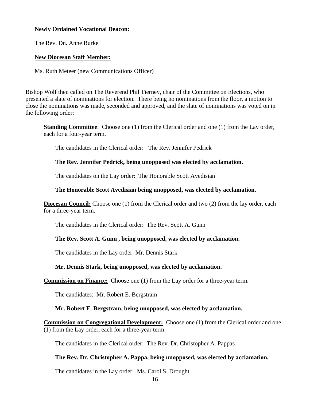#### **Newly Ordained Vocational Deacon:**

The Rev. Dn. Anne Burke

#### **New Diocesan Staff Member:**

Ms. Ruth Meteer (new Communications Officer)

Bishop Wolf then called on The Reverend Phil Tierney, chair of the Committee on Elections, who presented a slate of nominations for election. There being no nominations from the floor, a motion to close the nominations was made, seconded and approved, and the slate of nominations was voted on in the following order:

**Standing Committee**: Choose one (1) from the Clerical order and one (1) from the Lay order, each for a four-year term.

The candidates in the Clerical order: The Rev. Jennifer Pedrick

#### **The Rev. Jennifer Pedrick, being unopposed was elected by acclamation.**

The candidates on the Lay order: The Honorable Scott Avedisian

#### **The Honorable Scott Avedisian being unopposed, was elected by acclamation.**

**Diocesan Council:** Choose one (1) from the Clerical order and two (2) from the lay order, each for a three-year term.

The candidates in the Clerical order: The Rev. Scott A. Gunn

#### **The Rev. Scott A. Gunn , being unopposed, was elected by acclamation.**

The candidates in the Lay order: Mr. Dennis Stark

#### **Mr. Dennis Stark, being unopposed, was elected by acclamation.**

**Commission on Finance:** Choose one (1) from the Lay order for a three-year term.

The candidates: Mr. Robert E. Bergstram

#### **Mr. Robert E. Bergstram, being unopposed, was elected by acclamation.**

**Commission on Congregational Development:** Choose one (1) from the Clerical order and one (1) from the Lay order, each for a three-year term.

The candidates in the Clerical order: The Rev. Dr. Christopher A. Pappas

#### **The Rev. Dr. Christopher A. Pappa, being unopposed, was elected by acclamation.**

The candidates in the Lay order: Ms. Carol S. Drought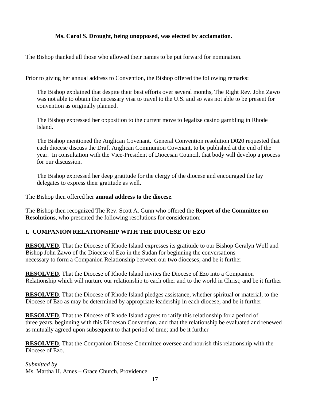#### **Ms. Carol S. Drought, being unopposed, was elected by acclamation.**

The Bishop thanked all those who allowed their names to be put forward for nomination.

Prior to giving her annual address to Convention, the Bishop offered the following remarks:

The Bishop explained that despite their best efforts over several months, The Right Rev. John Zawo was not able to obtain the necessary visa to travel to the U.S. and so was not able to be present for convention as originally planned.

The Bishop expressed her opposition to the current move to legalize casino gambling in Rhode Island.

The Bishop mentioned the Anglican Covenant. General Convention resolution D020 requested that each diocese discuss the Draft Anglican Communion Covenant, to be published at the end of the year. In consultation with the Vice-President of Diocesan Council, that body will develop a process for our discussion.

The Bishop expressed her deep gratitude for the clergy of the diocese and encouraged the lay delegates to express their gratitude as well.

The Bishop then offered her **annual address to the diocese**.

The Bishop then recognized The Rev. Scott A. Gunn who offered the **Report of the Committee on Resolutions**, who presented the following resolutions for consideration:

#### **I. COMPANION RELATIONSHIP WITH THE DIOCESE OF EZO**

**RESOLVED**, That the Diocese of Rhode Island expresses its gratitude to our Bishop Geralyn Wolf and Bishop John Zawo of the Diocese of Ezo in the Sudan for beginning the conversations necessary to form a Companion Relationship between our two dioceses; and be it further

**RESOLVED**, That the Diocese of Rhode Island invites the Diocese of Ezo into a Companion Relationship which will nurture our relationship to each other and to the world in Christ; and be it further

**RESOLVED**, That the Diocese of Rhode Island pledges assistance, whether spiritual or material, to the Diocese of Ezo as may be determined by appropriate leadership in each diocese; and be it further

**RESOLVED**, That the Diocese of Rhode Island agrees to ratify this relationship for a period of three years, beginning with this Diocesan Convention, and that the relationship be evaluated and renewed as mutually agreed upon subsequent to that period of time; and be it further

**RESOLVED**, That the Companion Diocese Committee oversee and nourish this relationship with the Diocese of Ezo.

*Submitted by*  Ms. Martha H. Ames – Grace Church, Providence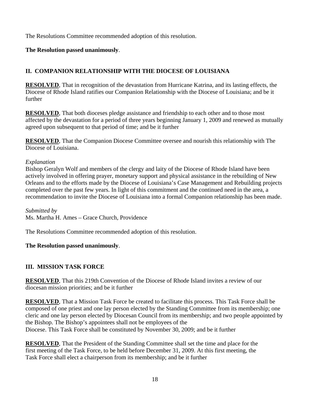The Resolutions Committee recommended adoption of this resolution.

#### **The Resolution passed unanimously**.

### **II. COMPANION RELATIONSHIP WITH THE DIOCESE OF LOUISIANA**

**RESOLVED**, That in recognition of the devastation from Hurricane Katrina, and its lasting effects, the Diocese of Rhode Island ratifies our Companion Relationship with the Diocese of Louisiana; and be it further

**RESOLVED**, That both dioceses pledge assistance and friendship to each other and to those most affected by the devastation for a period of three years beginning January 1, 2009 and renewed as mutually agreed upon subsequent to that period of time; and be it further

**RESOLVED**, That the Companion Diocese Committee oversee and nourish this relationship with The Diocese of Louisiana.

#### *Explanation*

Bishop Geralyn Wolf and members of the clergy and laity of the Diocese of Rhode Island have been actively involved in offering prayer, monetary support and physical assistance in the rebuilding of New Orleans and to the efforts made by the Diocese of Louisiana's Case Management and Rebuilding projects completed over the past few years. In light of this commitment and the continued need in the area, a recommendation to invite the Diocese of Louisiana into a formal Companion relationship has been made.

*Submitted by*  Ms. Martha H. Ames – Grace Church, Providence

The Resolutions Committee recommended adoption of this resolution.

#### **The Resolution passed unanimously**.

#### **III. MISSION TASK FORCE**

**RESOLVED**, That this 219th Convention of the Diocese of Rhode Island invites a review of our diocesan mission priorities; and be it further

**RESOLVED**, That a Mission Task Force be created to facilitate this process. This Task Force shall be composed of one priest and one lay person elected by the Standing Committee from its membership; one cleric and one lay person elected by Diocesan Council from its membership; and two people appointed by the Bishop. The Bishop's appointees shall not be employees of the Diocese. This Task Force shall be constituted by November 30, 2009; and be it further

**RESOLVED**, That the President of the Standing Committee shall set the time and place for the first meeting of the Task Force, to be held before December 31, 2009. At this first meeting, the Task Force shall elect a chairperson from its membership; and be it further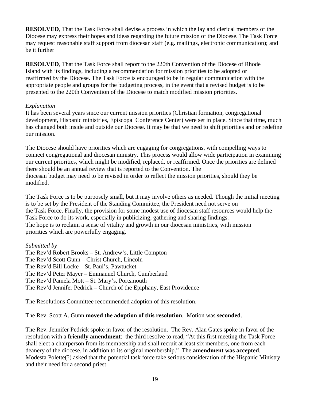**RESOLVED**, That the Task Force shall devise a process in which the lay and clerical members of the Diocese may express their hopes and ideas regarding the future mission of the Diocese. The Task Force may request reasonable staff support from diocesan staff (e.g. mailings, electronic communication); and be it further

**RESOLVED**, That the Task Force shall report to the 220th Convention of the Diocese of Rhode Island with its findings, including a recommendation for mission priorities to be adopted or reaffirmed by the Diocese. The Task Force is encouraged to be in regular communication with the appropriate people and groups for the budgeting process, in the event that a revised budget is to be presented to the 220th Convention of the Diocese to match modified mission priorities.

#### *Explanation*

It has been several years since our current mission priorities (Christian formation, congregational development, Hispanic ministries, Episcopal Conference Center) were set in place. Since that time, much has changed both inside and outside our Diocese. It may be that we need to shift priorities and or redefine our mission.

The Diocese should have priorities which are engaging for congregations, with compelling ways to connect congregational and diocesan ministry. This process would allow wide participation in examining our current priorities, which might be modified, replaced, or reaffirmed. Once the priorities are defined there should be an annual review that is reported to the Convention. The diocesan budget may need to be revised in order to reflect the mission priorities, should they be modified.

The Task Force is to be purposely small, but it may involve others as needed. Though the initial meeting is to be set by the President of the Standing Committee, the President need not serve on the Task Force. Finally, the provision for some modest use of diocesan staff resources would help the Task Force to do its work, especially in publicizing, gathering and sharing findings. The hope is to reclaim a sense of vitality and growth in our diocesan ministries, with mission priorities which are powerfully engaging.

*Submitted by* 

The Rev'd Robert Brooks – St. Andrew's, Little Compton The Rev'd Scott Gunn – Christ Church, Lincoln The Rev'd Bill Locke – St. Paul's, Pawtucket The Rev'd Peter Mayer – Emmanuel Church, Cumberland The Rev'd Pamela Mott – St. Mary's, Portsmouth The Rev'd Jennifer Pedrick – Church of the Epiphany, East Providence

The Resolutions Committee recommended adoption of this resolution.

The Rev. Scott A. Gunn **moved the adoption of this resolution**. Motion was **seconded**.

The Rev. Jennifer Pedrick spoke in favor of the resolution. The Rev. Alan Gates spoke in favor of the resolution with a **friendly amendment**: the third resolve to read, "At this first meeting the Task Force shall elect a chairperson from its membership and shall recruit at least six members, one from each deanery of the diocese, in addition to its original membership." The **amendment was accepted**. Modesta Polette(?) asked that the potential task force take serious consideration of the Hispanic Ministry and their need for a second priest.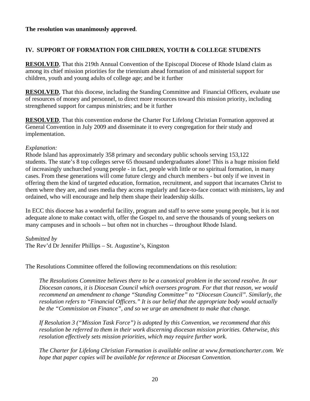#### **IV. SUPPORT OF FORMATION FOR CHILDREN, YOUTH & COLLEGE STUDENTS**

**RESOLVED**, That this 219th Annual Convention of the Episcopal Diocese of Rhode Island claim as among its chief mission priorities for the triennium ahead formation of and ministerial support for children, youth and young adults of college age; and be it further

**RESOLVED**, That this diocese, including the Standing Committee and Financial Officers, evaluate use of resources of money and personnel, to direct more resources toward this mission priority, including strengthened support for campus ministries; and be it further

**RESOLVED**, That this convention endorse the Charter For Lifelong Christian Formation approved at General Convention in July 2009 and disseminate it to every congregation for their study and implementation.

#### *Explanation:*

Rhode Island has approximately 358 primary and secondary public schools serving 153,122 students. The state's 8 top colleges serve 65 thousand undergraduates alone! This is a huge mission field of increasingly unchurched young people - in fact, people with little or no spiritual formation, in many cases. From these generations will come future clergy and church members - but only if we invest in offering them the kind of targeted education, formation, recruitment, and support that incarnates Christ to them where they are, and uses media they access regularly and face-to-face contact with ministers, lay and ordained, who will encourage and help them shape their leadership skills.

In ECC this diocese has a wonderful facility, program and staff to serve some young people, but it is not adequate alone to make contact with, offer the Gospel to, and serve the thousands of young seekers on many campuses and in schools -- but often not in churches -- throughout Rhode Island.

#### *Submitted by*

The Rev'd Dr Jennifer Phillips – St. Augustine's, Kingston

The Resolutions Committee offered the following recommendations on this resolution:

*The Resolutions Committee believes there to be a canonical problem in the second resolve. In our Diocesan canons, it is Diocesan Council which oversees program. For that that reason, we would recommend an amendment to change "Standing Committee" to "Diocesan Council". Similarly, the resolution refers to "Financial Officers." It is our belief that the appropriate body would actually be the "Commission on Finance", and so we urge an amendment to make that change.* 

*If Resolution 3 ("Mission Task Force") is adopted by this Convention, we recommend that this resolution be referred to them in their work discerning diocesan mission priorities. Otherwise, this resolution effectively sets mission priorities, which may require further work.* 

*The Charter for Lifelong Christian Formation is available online at www.formationcharter.com. We hope that paper copies will be available for reference at Diocesan Convention.*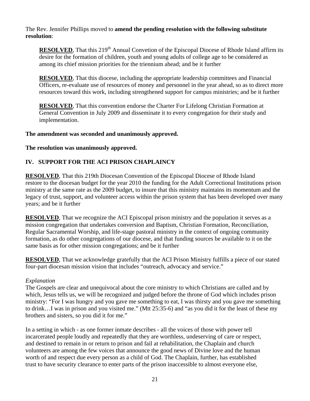The Rev. Jennifer Phillips moved to **amend the pending resolution with the following substitute resolution**:

**RESOLVED**, That this 219<sup>th</sup> Annual Convetion of the Episcopal Diocese of Rhode Island affirm its desire for the formation of children, youth and young adults of college age to be considered as among its chief mission priorities for the triennium ahead; and be it further

**RESOLVED**, That this diocese, including the appropriate leadership committees and Financial Officers, re-evaluate use of resources of money and personnel in the year ahead, so as to direct more resources toward this work, including strengthened support for campus ministries; and be it further

**RESOLVED**, That this convention endorse the Charter For Lifelong Christian Formation at General Convention in July 2009 and disseminate it to every congregation for their study and implementation.

#### **The amendment was seconded and unanimously approved.**

#### **The resolution was unanimously approved.**

#### **IV. SUPPORT FOR THE ACI PRISON CHAPLAINCY**

**RESOLVED**, That this 219th Diocesan Convention of the Episcopal Diocese of Rhode Island restore to the diocesan budget for the year 2010 the funding for the Adult Correctional Institutions prison ministry at the same rate as the 2009 budget, to insure that this ministry maintains its momentum and the legacy of trust, support, and volunteer access within the prison system that has been developed over many years; and be it further

**RESOLVED**, That we recognize the ACI Episcopal prison ministry and the population it serves as a mission congregation that undertakes conversion and Baptism, Christian Formation, Reconciliation, Regular Sacramental Worship, and life-stage pastoral ministry in the context of ongoing community formation, as do other congregations of our diocese, and that funding sources be available to it on the same basis as for other mission congregations; and be it further

**RESOLVED**, That we acknowledge gratefully that the ACI Prison Ministry fulfills a piece of our stated four-part diocesan mission vision that includes "outreach, advocacy and service."

#### *Explanation*

The Gospels are clear and unequivocal about the core ministry to which Christians are called and by which, Jesus tells us, we will be recognized and judged before the throne of God which includes prison ministry: "For I was hungry and you gave me something to eat, I was thirsty and you gave me something to drink…I was in prison and you visited me." (Mtt 25:35-6) and "as you did it for the least of these my brothers and sisters, so you did it for me."

In a setting in which - as one former inmate describes - all the voices of those with power tell incarcerated people loudly and repeatedly that they are worthless, undeserving of care or respect, and destined to remain in or return to prison and fail at rehabilitation, the Chaplain and church volunteers are among the few voices that announce the good news of Divine love and the human worth of and respect due every person as a child of God. The Chaplain, further, has established trust to have security clearance to enter parts of the prison inaccessible to almost everyone else,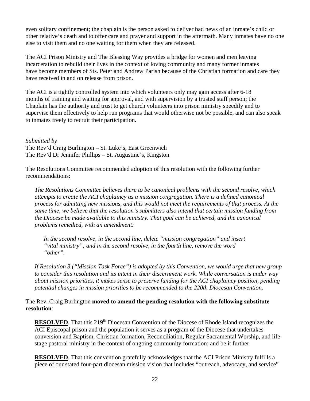even solitary confinement; the chaplain is the person asked to deliver bad news of an inmate's child or other relative's death and to offer care and prayer and support in the aftermath. Many inmates have no one else to visit them and no one waiting for them when they are released.

The ACI Prison Ministry and The Blessing Way provides a bridge for women and men leaving incarceration to rebuild their lives in the context of loving community and many former inmates have become members of Sts. Peter and Andrew Parish because of the Christian formation and care they have received in and on release from prison.

The ACI is a tightly controlled system into which volunteers only may gain access after 6-18 months of training and waiting for approval, and with supervision by a trusted staff person; the Chaplain has the authority and trust to get church volunteers into prison ministry speedily and to supervise them effectively to help run programs that would otherwise not be possible, and can also speak to inmates freely to recruit their participation.

#### *Submitted by*

The Rev'd Craig Burlington – St. Luke's, East Greenwich The Rev'd Dr Jennifer Phillips – St. Augustine's, Kingston

The Resolutions Committee recommended adoption of this resolution with the following further recommendations:

*The Resolutions Committee believes there to be canonical problems with the second resolve, which attempts to create the ACI chaplaincy as a mission congregation. There is a defined canonical process for admitting new missions, and this would not meet the requirements of that process. At the same time, we believe that the resolution's submitters also intend that certain mission funding from the Diocese be made available to this ministry. That goal can be achieved, and the canonical problems remedied, with an amendment:* 

*In the second resolve, in the second line, delete "mission congregation" and insert "vital ministry"; and in the second resolve, in the fourth line, remove the word "other".* 

*If Resolution 3 ("Mission Task Force") is adopted by this Convention, we would urge that new group to consider this resolution and its intent in their discernment work. While conversation is under way about mission priorities, it makes sense to preserve funding for the ACI chaplaincy position, pending potential changes in mission priorities to be recommended to the 220th Diocesan Convention.* 

The Rev. Craig Burlington **moved to amend the pending resolution with the following substitute resolution**:

**RESOLVED**, That this 219<sup>th</sup> Diocesan Convention of the Diocese of Rhode Island recognizes the ACI Episcopal prison and the population it serves as a program of the Diocese that undertakes conversion and Baptism, Christian formation, Reconciliation, Regular Sacramental Worship, and lifestage pastoral ministry in the context of ongoing community formation; and be it further

**RESOLVED**, That this convention gratefully acknowledges that the ACI Prison Ministry fulfills a piece of our stated four-part diocesan mission vision that includes "outreach, advocacy, and service"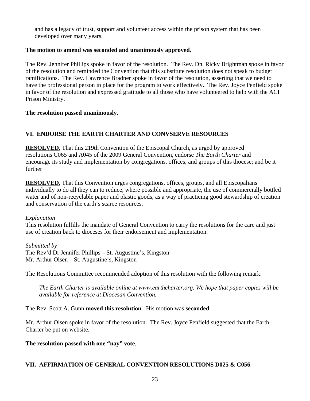and has a legacy of trust, support and volunteer access within the prison system that has been developed over many years.

#### **The motion to amend was seconded and unanimously approved**.

The Rev. Jennifer Phillips spoke in favor of the resolution. The Rev. Dn. Ricky Brightman spoke in favor of the resolution and reminded the Convention that this substitute resolution does not speak to budget ramifications. The Rev. Lawrence Bradner spoke in favor of the resolution, asserting that we need to have the professional person in place for the program to work effectively. The Rev. Joyce Penfield spoke in favor of the resolution and expressed gratitude to all those who have volunteered to help with the ACI Prison Ministry.

#### **The resolution passed unanimously**.

#### **VI. ENDORSE THE EARTH CHARTER AND CONVSERVE RESOURCES**

**RESOLVED**, That this 219th Convention of the Episcopal Church, as urged by approved resolutions C065 and A045 of the 2009 General Convention, endorse *The Earth Charter* and encourage its study and implementation by congregations, offices, and groups of this diocese; and be it further

**RESOLVED**, That this Convention urges congregations, offices, groups, and all Episcopalians individually to do all they can to reduce, where possible and appropriate, the use of commercially bottled water and of non-recyclable paper and plastic goods, as a way of practicing good stewardship of creation and conservation of the earth's scarce resources.

#### *Explanation*

This resolution fulfills the mandate of General Convention to carry the resolutions for the care and just use of creation back to dioceses for their endorsement and implementation.

*Submitted by*  The Rev'd Dr Jennifer Phillips – St. Augustine's, Kingston Mr. Arthur Olsen – St. Augustine's, Kingston

The Resolutions Committee recommended adoption of this resolution with the following remark:

*The Earth Charter is available online at www.earthcharter.org. We hope that paper copies will be available for reference at Diocesan Convention.* 

The Rev. Scott A. Gunn **moved this resolution**. His motion was **seconded**.

Mr. Arthur Olsen spoke in favor of the resolution. The Rev. Joyce Penfield suggested that the Earth Charter be put on website.

#### **The resolution passed with one "nay" vote**.

#### **VII. AFFIRMATION OF GENERAL CONVENTION RESOLUTIONS D025 & C056**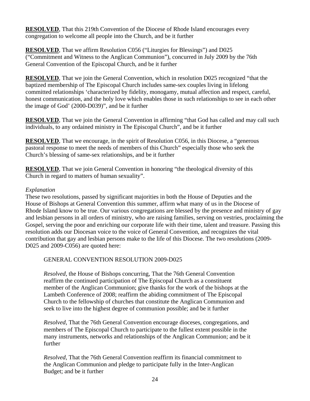**RESOLVED**, That this 219th Convention of the Diocese of Rhode Island encourages every congregation to welcome all people into the Church, and be it further

**RESOLVED**, That we affirm Resolution C056 ("Liturgies for Blessings") and D025 ("Commitment and Witness to the Anglican Communion"), concurred in July 2009 by the 76th General Convention of the Episcopal Church, and be it further

**RESOLVED**, That we join the General Convention, which in resolution D025 recognized "that the baptized membership of The Episcopal Church includes same-sex couples living in lifelong committed relationships 'characterized by fidelity, monogamy, mutual affection and respect, careful, honest communication, and the holy love which enables those in such relationships to see in each other the image of God' (2000-D039)", and be it further

**RESOLVED**, That we join the General Convention in affirming "that God has called and may call such individuals, to any ordained ministry in The Episcopal Church", and be it further

**RESOLVED**, That we encourage, in the spirit of Resolution C056, in this Diocese, a "generous pastoral response to meet the needs of members of this Church" especially those who seek the Church's blessing of same-sex relationships, and be it further

**RESOLVED**, That we join General Convention in honoring "the theological diversity of this Church in regard to matters of human sexuality".

#### *Explanation*

These two resolutions, passed by significant majorities in both the House of Deputies and the House of Bishops at General Convention this summer, affirm what many of us in the Diocese of Rhode Island know to be true. Our various congregations are blessed by the presence and ministry of gay and lesbian persons in all orders of ministry, who are raising families, serving on vestries, proclaiming the Gospel, serving the poor and enriching our corporate life with their time, talent and treasure. Passing this resolution adds our Diocesan voice to the voice of General Convention, and recognizes the vital contribution that gay and lesbian persons make to the life of this Diocese. The two resolutions (2009- D025 and 2009-C056) are quoted here:

#### GENERAL CONVENTION RESOLUTION 2009-D025

*Resolved*, the House of Bishops concurring, That the 76th General Convention reaffirm the continued participation of The Episcopal Church as a constituent member of the Anglican Communion; give thanks for the work of the bishops at the Lambeth Conference of 2008; reaffirm the abiding commitment of The Episcopal Church to the fellowship of churches that constitute the Anglican Communion and seek to live into the highest degree of communion possible; and be it further

*Resolved*, That the 76th General Convention encourage dioceses, congregations, and members of The Episcopal Church to participate to the fullest extent possible in the many instruments, networks and relationships of the Anglican Communion; and be it further

*Resolved*, That the 76th General Convention reaffirm its financial commitment to the Anglican Communion and pledge to participate fully in the Inter-Anglican Budget; and be it further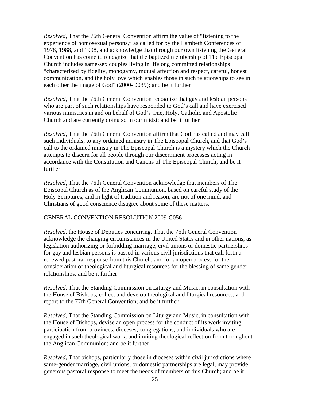*Resolved*, That the 76th General Convention affirm the value of "listening to the experience of homosexual persons," as called for by the Lambeth Conferences of 1978, 1988, and 1998, and acknowledge that through our own listening the General Convention has come to recognize that the baptized membership of The Episcopal Church includes same-sex couples living in lifelong committed relationships "characterized by fidelity, monogamy, mutual affection and respect, careful, honest communication, and the holy love which enables those in such relationships to see in each other the image of God" (2000-D039); and be it further

*Resolved*, That the 76th General Convention recognize that gay and lesbian persons who are part of such relationships have responded to God's call and have exercised various ministries in and on behalf of God's One, Holy, Catholic and Apostolic Church and are currently doing so in our midst; and be it further

*Resolved*, That the 76th General Convention affirm that God has called and may call such individuals, to any ordained ministry in The Episcopal Church, and that God's call to the ordained ministry in The Episcopal Church is a mystery which the Church attempts to discern for all people through our discernment processes acting in accordance with the Constitution and Canons of The Episcopal Church; and be it further

*Resolved*, That the 76th General Convention acknowledge that members of The Episcopal Church as of the Anglican Communion, based on careful study of the Holy Scriptures, and in light of tradition and reason, are not of one mind, and Christians of good conscience disagree about some of these matters.

#### GENERAL CONVENTION RESOLUTION 2009-C056

*Resolved*, the House of Deputies concurring, That the 76th General Convention acknowledge the changing circumstances in the United States and in other nations, as legislation authorizing or forbidding marriage, civil unions or domestic partnerships for gay and lesbian persons is passed in various civil jurisdictions that call forth a renewed pastoral response from this Church, and for an open process for the consideration of theological and liturgical resources for the blessing of same gender relationships; and be it further

*Resolved*, That the Standing Commission on Liturgy and Music, in consultation with the House of Bishops, collect and develop theological and liturgical resources, and report to the 77th General Convention; and be it further

*Resolved*, That the Standing Commission on Liturgy and Music, in consultation with the House of Bishops, devise an open process for the conduct of its work inviting participation from provinces, dioceses, congregations, and individuals who are engaged in such theological work, and inviting theological reflection from throughout the Anglican Communion; and be it further

*Resolved*, That bishops, particularly those in dioceses within civil jurisdictions where same-gender marriage, civil unions, or domestic partnerships are legal, may provide generous pastoral response to meet the needs of members of this Church; and be it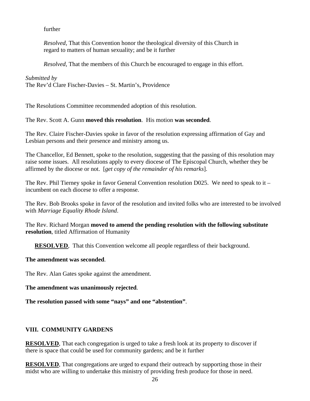#### further

*Resolved*, That this Convention honor the theological diversity of this Church in regard to matters of human sexuality; and be it further

*Resolved*, That the members of this Church be encouraged to engage in this effort.

#### *Submitted by*

The Rev'd Clare Fischer-Davies – St. Martin's, Providence

The Resolutions Committee recommended adoption of this resolution.

The Rev. Scott A. Gunn **moved this resolution**. His motion **was seconded**.

The Rev. Claire Fischer-Davies spoke in favor of the resolution expressing affirmation of Gay and Lesbian persons and their presence and ministry among us.

The Chancellor, Ed Bennett, spoke to the resolution, suggesting that the passing of this resolution may raise some issues. All resolutions apply to every diocese of The Episcopal Church, whether they be affirmed by the diocese or not. [*get copy of the remainder of his remarks*].

The Rev. Phil Tierney spoke in favor General Convention resolution D025. We need to speak to it – incumbent on each diocese to offer a response.

The Rev. Bob Brooks spoke in favor of the resolution and invited folks who are interested to be involved with *Marriage Equality Rhode Island*.

The Rev. Richard Morgan **moved to amend the pending resolution with the following substitute resolution**, titled Affirmation of Humanity

**RESOLVED.** That this Convention welcome all people regardless of their background.

#### **The amendment was seconded**.

The Rev. Alan Gates spoke against the amendment.

**The amendment was unanimously rejected**.

**The resolution passed with some "nays" and one "abstention"**.

#### **VIII. COMMUNITY GARDENS**

**RESOLVED**, That each congregation is urged to take a fresh look at its property to discover if there is space that could be used for community gardens; and be it further

**RESOLVED**, That congregations are urged to expand their outreach by supporting those in their midst who are willing to undertake this ministry of providing fresh produce for those in need.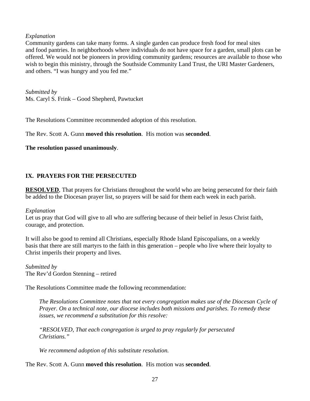#### *Explanation*

Community gardens can take many forms. A single garden can produce fresh food for meal sites and food pantries. In neighborhoods where individuals do not have space for a garden, small plots can be offered. We would not be pioneers in providing community gardens; resources are available to those who wish to begin this ministry, through the Southside Community Land Trust, the URI Master Gardeners, and others. "I was hungry and you fed me."

*Submitted by*  Ms. Caryl S. Frink – Good Shepherd, Pawtucket

The Resolutions Committee recommended adoption of this resolution.

The Rev. Scott A. Gunn **moved this resolution**. His motion was **seconded**.

#### **The resolution passed unanimously**.

#### **IX. PRAYERS FOR THE PERSECUTED**

**RESOLVED**, That prayers for Christians throughout the world who are being persecuted for their faith be added to the Diocesan prayer list, so prayers will be said for them each week in each parish.

#### *Explanation*

Let us pray that God will give to all who are suffering because of their belief in Jesus Christ faith, courage, and protection.

It will also be good to remind all Christians, especially Rhode Island Episcopalians, on a weekly basis that there are still martyrs to the faith in this generation – people who live where their loyalty to Christ imperils their property and lives.

*Submitted by*  The Rev'd Gordon Stenning – retired

The Resolutions Committee made the following recommendation:

*The Resolutions Committee notes that not every congregation makes use of the Diocesan Cycle of Prayer. On a technical note, our diocese includes both missions and parishes. To remedy these issues, we recommend a substitution for this resolve:* 

*"RESOLVED, That each congregation is urged to pray regularly for persecuted Christians."* 

*We recommend adoption of this substitute resolution.* 

The Rev. Scott A. Gunn **moved this resolution**. His motion was **seconded**.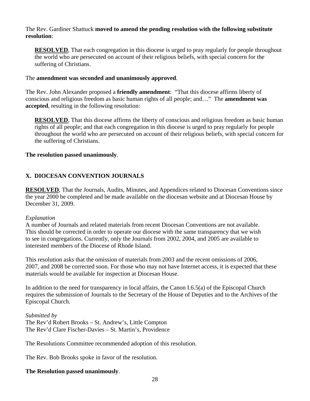#### The Rev. Gardiner Shattuck **moved to amend the pending resolution with the following substitute resolution**:

**RESOLVED**, That each congregation in this diocese is urged to pray regularly for people throughout the world who are persecuted on account of their religious beliefs, with special concern for the suffering of Christians.

#### The **amendment was seconded and unanimously approved**.

The Rev. John Alexander proposed a **friendly amendment**: "That this diocese affirms liberty of conscious and religious freedom as basic human rights of all people; and…" The **amendment was accepted**, resulting in the following resolution:

**RESOLVED**, That this diocese affirms the liberty of conscious and religious freedom as basic human rights of all people; and that each congregation in this diocese is urged to pray regularly for people throughout the world who are persecuted on account of their religious beliefs, with special concern for the suffering of Christians.

#### **The resolution passed unanimously**.

#### **X. DIOCESAN CONVENTION JOURNALS**

**RESOLVED**, That the Journals, Audits, Minutes, and Appendices related to Diocesan Conventions since the year 2000 be completed and be made available on the diocesan website and at Diocesan House by December 31, 2009.

#### *Explanation*

A number of Journals and related materials from recent Diocesan Conventions are not available. This should be corrected in order to operate our diocese with the same transparency that we wish to see in congregations. Currently, only the Journals from 2002, 2004, and 2005 are available to interested members of the Diocese of Rhode Island.

This resolution asks that the omission of materials from 2003 and the recent omissions of 2006, 2007, and 2008 be corrected soon. For those who may not have Internet access, it is expected that these materials would be available for inspection at Diocesan House.

In addition to the need for transparency in local affairs, the Canon I.6.5(a) of the Episcopal Church requires the submission of Journals to the Secretary of the House of Deputies and to the Archives of the Episcopal Church.

*Submitted by*  The Rev'd Robert Brooks – St. Andrew's, Little Compton The Rev'd Clare Fischer-Davies – St. Martin's, Providence

The Resolutions Committee recommended adoption of this resolution.

The Rev. Bob Brooks spoke in favor of the resolution.

#### **The Resolution passed unanimously**.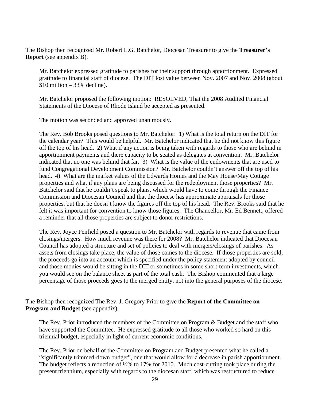The Bishop then recognized Mr. Robert L.G. Batchelor, Diocesan Treasurer to give the **Treasurer's Report** (see appendix B).

Mr. Batchelor expressed gratitude to parishes for their support through apportionment. Expressed gratitude to financial staff of diocese. The DIT lost value between Nov. 2007 and Nov. 2008 (about  $$10$  million – 33% decline).

Mr. Batchelor proposed the following motion: RESOLVED, That the 2008 Audited Financial Statements of the Diocese of Rhode Island be accepted as presented.

The motion was seconded and approved unanimously.

The Rev. Bob Brooks posed questions to Mr. Batchelor: 1) What is the total return on the DIT for the calendar year? This would be helpful. Mr. Batchelor indicated that he did not know this figure off the top of his head. 2) What if any action is being taken with regards to those who are behind in apportionment payments and there capacity to be seated as delegates at convention. Mr. Batchelor indicated that no one was behind that far. 3) What is the value of the endowments that are used to fund Congregational Development Commission? Mr. Batchelor couldn't answer off the top of his head. 4) What are the market values of the Edwards Homes and the May House/May Cottage properties and what if any plans are being discussed for the redeployment those properties? Mr. Batchelor said that he couldn't speak to plans, which would have to come through the Finance Commission and Diocesan Council and that the diocese has approximate appraisals for those properties, but that he doesn't know the figures off the top of his head. The Rev. Brooks said that he felt it was important for convention to know those figures. The Chancellor, Mr. Ed Bennett, offered a reminder that all those properties are subject to donor restrictions.

The Rev. Joyce Penfield posed a question to Mr. Batchelor with regards to revenue that came from closings/mergers. How much revenue was there for 2008? Mr. Batchelor indicated that Diocesan Council has adopted a structure and set of policies to deal with mergers/closings of parishes. As assets from closings take place, the value of those comes to the diocese. If those properties are sold, the proceeds go into an account which is specified under the policy statement adopted by council and those monies would be sitting in the DIT or sometimes in some short-term investments, which you would see on the balance sheet as part of the total cash. The Bishop commented that a large percentage of those proceeds goes to the merged entity, not into the general purposes of the diocese.

The Bishop then recognized The Rev. J. Gregory Prior to give the **Report of the Committee on Program and Budget** (see appendix).

The Rev. Prior introduced the members of the Committee on Program & Budget and the staff who have supported the Committee. He expressed gratitude to all those who worked so hard on this triennial budget, especially in light of current economic conditions.

The Rev. Prior on behalf of the Committee on Program and Budget presented what he called a "significantly trimmed-down budget", one that would allow for a decrease in parish apportionment. The budget reflects a reduction of  $\frac{1}{2}\%$  to 17% for 2010. Much cost-cutting took place during the present triennium, especially with regards to the diocesan staff, which was restructured to reduce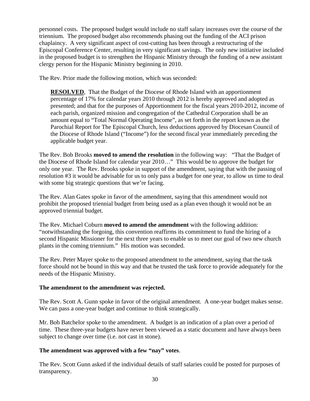personnel costs. The proposed budget would include no staff salary increases over the course of the triennium. The proposed budget also recommends phasing out the funding of the ACI prison chaplaincy. A very significant aspect of cost-cutting has been through a restructuring of the Episcopal Conference Center, resulting in very significant savings. The only new initiative included in the proposed budget is to strengthen the Hispanic Ministry through the funding of a new assistant clergy person for the Hispanic Ministry beginning in 2010.

The Rev. Prior made the following motion, which was seconded:

**RESOLVED.** That the Budget of the Diocese of Rhode Island with an apportionment percentage of 17% for calendar years 2010 through 2012 is hereby approved and adopted as presented; and that for the purposes of Apportionment for the fiscal years 2010-2012, income of each parish, organized mission and congregation of the Cathedral Corporation shall be an amount equal to "Total Normal Operating Income", as set forth in the report known as the Parochial Report for The Episcopal Church, less deductions approved by Diocesan Council of the Diocese of Rhode Island ("Income") for the second fiscal year immediately preceding the applicable budget year.

The Rev. Bob Brooks **moved to amend the resolution** in the following way: "That the Budget of the Diocese of Rhode Island for calendar year 2010…" This would be to approve the budget for only one year. The Rev. Brooks spoke in support of the amendment, saying that with the passing of resolution #3 it would be advisable for us to only pass a budget for one year, to allow us time to deal with some big strategic questions that we're facing.

The Rev. Alan Gates spoke in favor of the amendment, saying that this amendment would not prohibit the proposed triennial budget from being used as a plan even though it would not be an approved triennial budget.

The Rev. Michael Coburn **moved to amend the amendment** with the following addition: "notwithstanding the forgoing, this convention reaffirms its commitment to fund the hiring of a second Hispanic Missioner for the next three years to enable us to meet our goal of two new church plants in the coming triennium." His motion was seconded.

The Rev. Peter Mayer spoke to the proposed amendment to the amendment, saying that the task force should not be bound in this way and that he trusted the task force to provide adequately for the needs of the Hispanic Ministry.

#### **The amendment to the amendment was rejected.**

The Rev. Scott A. Gunn spoke in favor of the original amendment. A one-year budget makes sense. We can pass a one-year budget and continue to think strategically.

Mr. Bob Batchelor spoke to the amendment. A budget is an indication of a plan over a period of time. These three-year budgets have never been viewed as a static document and have always been subject to change over time (i.e. not cast in stone).

#### **The amendment was approved with a few "nay" votes**.

The Rev. Scott Gunn asked if the individual details of staff salaries could be posted for purposes of transparency.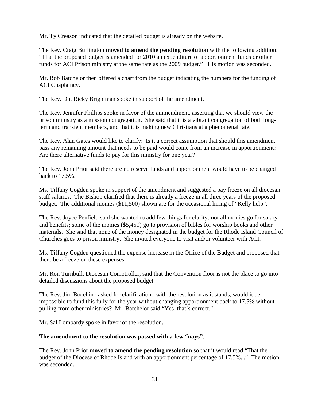Mr. Ty Creason indicated that the detailed budget is already on the website.

The Rev. Craig Burlington **moved to amend the pending resolution** with the following addition: "That the proposed budget is amended for 2010 an expenditure of apportionment funds or other funds for ACI Prison ministry at the same rate as the 2009 budget." His motion was seconded.

Mr. Bob Batchelor then offered a chart from the budget indicating the numbers for the funding of ACI Chaplaincy.

The Rev. Dn. Ricky Brightman spoke in support of the amendment.

The Rev. Jennifer Phillips spoke in favor of the ammendment, asserting that we should view the prison ministry as a mission congregation. She said that it is a vibrant congregation of both longterm and transient members, and that it is making new Christians at a phenomenal rate.

The Rev. Alan Gates would like to clarify: Is it a correct assumption that should this amendment pass any remaining amount that needs to be paid would come from an increase in apportionment? Are there alternative funds to pay for this ministry for one year?

The Rev. John Prior said there are no reserve funds and apportionment would have to be changed back to 17.5%.

Ms. Tiffany Cogden spoke in support of the amendment and suggested a pay freeze on all diocesan staff salaries. The Bishop clarified that there is already a freeze in all three years of the proposed budget. The additional monies (\$11,500) shown are for the occasional hiring of "Kelly help".

The Rev. Joyce Penfield said she wanted to add few things for clarity: not all monies go for salary and benefits; some of the monies (\$5,450) go to provision of bibles for worship books and other materials. She said that none of the money designated in the budget for the Rhode Island Council of Churches goes to prison ministry. She invited everyone to visit and/or volunteer with ACI.

Ms. Tiffany Cogden questioned the expense increase in the Office of the Budget and proposed that there be a freeze on these expenses.

Mr. Ron Turnbull, Diocesan Comptroller, said that the Convention floor is not the place to go into detailed discussions about the proposed budget.

The Rev. Jim Bocchino asked for clarification: with the resolution as it stands, would it be impossible to fund this fully for the year without changing apportionment back to 17.5% without pulling from other ministries? Mr. Batchelor said "Yes, that's correct."

Mr. Sal Lombardy spoke in favor of the resolution.

#### **The amendment to the resolution was passed with a few "nays"**.

The Rev. John Prior **moved to amend the pending resolution** so that it would read "That the budget of the Diocese of Rhode Island with an apportionment percentage of 17.5%..." The motion was seconded.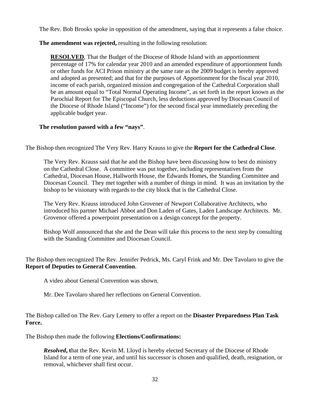The Rev. Bob Brooks spoke in opposition of the amendment, saying that it represents a false choice.

#### **The amendment was rejected,** resulting in the following resolution:

**RESOLVED**, That the Budget of the Diocese of Rhode Island with an apportionment percentage of 17% for calendar year 2010 and an amended expenditure of apportionment funds or other funds for ACI Prison ministry at the same rate as the 2009 budget is hereby approved and adopted as presented; and that for the purposes of Apportionment for the fiscal year 2010, income of each parish, organized mission and congregation of the Cathedral Corporation shall be an amount equal to "Total Normal Operating Income", as set forth in the report known as the Parochial Report for The Episcopal Church, less deductions approved by Diocesan Council of the Diocese of Rhode Island ("Income") for the second fiscal year immediately preceding the applicable budget year.

#### **The resolution passed with a few "nays"**.

The Bishop then recognized The Very Rev. Harry Krauss to give the **Report for the Cathedral Close**.

The Very Rev. Krauss said that he and the Bishop have been discussing how to best do ministry on the Cathedral Close. A committee was put together, including representatives from the Cathedral, Diocesan House, Hallworth House, the Edwards Homes, the Standing Committee and Diocesan Council. They met together with a number of things in mind. It was an invitation by the bishop to be visionary with regards to the city block that is the Cathedral Close.

The Very Rev. Krauss introduced John Grovener of Newport Collaborative Architects, who introduced his partner Michael Abbot and Don Laden of Gates, Laden Landscape Architects. Mr. Grovenor offered a powerpoint presentation on a design concept for the property.

Bishop Wolf announced that she and the Dean will take this process to the next step by consulting with the Standing Committee and Diocesan Council.

The Bishop then recognized The Rev. Jennifer Pedrick, Ms. Caryl Frink and Mr. Dee Tavolaro to give the **Report of Deputies to General Convention**.

A video about General Convention was shown.

Mr. Dee Tavolaro shared her reflections on General Convention.

The Bishop called on The Rev. Gary Lemery to offer a report on the **Disaster Preparedness Plan Task Force.** 

The Bishop then made the following **Elections/Confirmations:** 

**Resolved**, that the Rev. Kevin M. Lloyd is hereby elected Secretary of the Diocese of Rhode Island for a term of one year, and until his successor is chosen and qualified, death, resignation, or removal, whichever shall first occur.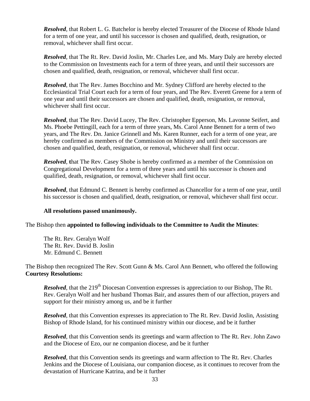*Resolved*, that Robert L. G. Batchelor is hereby elected Treasurer of the Diocese of Rhode Island for a term of one year, and until his successor is chosen and qualified, death, resignation, or removal, whichever shall first occur.

*Resolved*, that The Rt. Rev. David Joslin, Mr. Charles Lee, and Ms. Mary Daly are hereby elected to the Commission on Investments each for a term of three years, and until their successors are chosen and qualified, death, resignation, or removal, whichever shall first occur.

*Resolved*, that The Rev. James Bocchino and Mr. Sydney Clifford are hereby elected to the Ecclesiastical Trial Court each for a term of four years, and The Rev. Everett Greene for a term of one year and until their successors are chosen and qualified, death, resignation, or removal, whichever shall first occur.

*Resolved*, that The Rev. David Lucey, The Rev. Christopher Epperson, Ms. Lavonne Seifert, and Ms. Phoebe Pettingill, each for a term of three years, Ms. Carol Anne Bennett for a term of two years, and The Rev. Dn. Janice Grinnell and Ms. Karen Runner, each for a term of one year, are hereby confirmed as members of the Commission on Ministry and until their successors are chosen and qualified, death, resignation, or removal, whichever shall first occur.

*Resolved*, that The Rev. Casey Shobe is hereby confirmed as a member of the Commission on Congregational Development for a term of three years and until his successor is chosen and qualified, death, resignation, or removal, whichever shall first occur.

*Resolved*, that Edmund C. Bennett is hereby confirmed as Chancellor for a term of one year, until his successor is chosen and qualified, death, resignation, or removal, whichever shall first occur.

#### **All resolutions passed unanimously.**

The Bishop then **appointed to following individuals to the Committee to Audit the Minutes**:

The Rt. Rev. Geralyn Wolf The Rt. Rev. David B. Joslin Mr. Edmund C. Bennett

The Bishop then recognized The Rev. Scott Gunn & Ms. Carol Ann Bennett, who offered the following **Courtesy Resolutions:** 

*Resolved*, that the 219<sup>th</sup> Diocesan Convention expresses is appreciation to our Bishop, The Rt. Rev. Geralyn Wolf and her husband Thomas Bair, and assures them of our affection, prayers and support for their ministry among us, and be it further

*Resolved*, that this Convention expresses its appreciation to The Rt. Rev. David Joslin, Assisting Bishop of Rhode Island, for his continued ministry within our diocese, and be it further

*Resolved*, that this Convention sends its greetings and warm affection to The Rt. Rev. John Zawo and the Diocese of Ezo, our ne companion diocese, and be it further

*Resolved*, that this Convention sends its greetings and warm affection to The Rt. Rev. Charles Jenkins and the Diocese of Louisiana, our companion diocese, as it continues to recover from the devastation of Hurricane Katrina, and be it further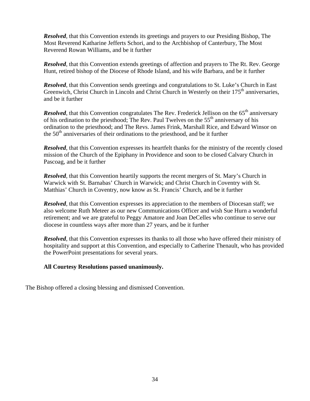*Resolved*, that this Convention extends its greetings and prayers to our Presiding Bishop, The Most Reverend Katharine Jefferts Schori, and to the Archbishop of Canterbury, The Most Reverend Rowan Williams, and be it further

*Resolved*, that this Convention extends greetings of affection and prayers to The Rt. Rev. George Hunt, retired bishop of the Diocese of Rhode Island, and his wife Barbara, and be it further

*Resolved*, that this Convention sends greetings and congratulations to St. Luke's Church in East Greenwich, Christ Church in Lincoln and Christ Church in Westerly on their  $175<sup>th</sup>$  anniversaries, and be it further

*Resolved*, that this Convention congratulates The Rev. Frederick Jellison on the 65<sup>th</sup> anniversary of his ordination to the priesthood; The Rev. Paul Twelves on the  $55<sup>th</sup>$  anniversary of his ordination to the priesthood; and The Revs. James Frink, Marshall Rice, and Edward Winsor on the  $50<sup>th</sup>$  anniversaries of their ordinations to the priesthood, and be it further

*Resolved*, that this Convention expresses its heartfelt thanks for the ministry of the recently closed mission of the Church of the Epiphany in Providence and soon to be closed Calvary Church in Pascoag, and be it further

*Resolved*, that this Convention heartily supports the recent mergers of St. Mary's Church in Warwick with St. Barnabas' Church in Warwick; and Christ Church in Coventry with St. Matthias' Church in Coventry, now know as St. Francis' Church, and be it further

*Resolved*, that this Convention expresses its appreciation to the members of Diocesan staff; we also welcome Ruth Meteer as our new Communications Officer and wish Sue Hurn a wonderful retirement; and we are grateful to Peggy Amatore and Joan DeCelles who continue to serve our diocese in countless ways after more than 27 years, and be it further

*Resolved*, that this Convention expresses its thanks to all those who have offered their ministry of hospitality and support at this Convention, and especially to Catherine Thenault, who has provided the PowerPoint presentations for several years.

#### **All Courtesy Resolutions passed unanimously.**

The Bishop offered a closing blessing and dismissed Convention.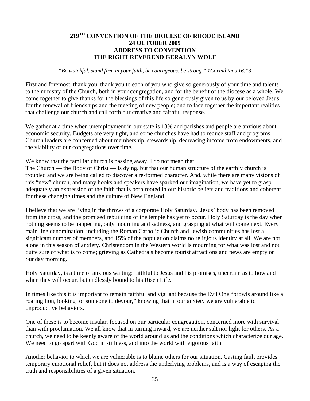#### **219TH CONVENTION OF THE DIOCESE OF RHODE ISLAND 24 OCTOBER 2009 ADDRESS TO CONVENTION THE RIGHT REVEREND GERALYN WOLF**

#### *"Be watchful, stand firm in your faith, be courageous, be strong." 1Corinthians 16:13*

First and foremost, thank you, thank you to each of you who give so generously of your time and talents to the ministry of the Church, both in your congregation, and for the benefit of the diocese as a whole. We come together to give thanks for the blessings of this life so generously given to us by our beloved Jesus; for the renewal of friendships and the meeting of new people; and to face together the important realities that challenge our church and call forth our creative and faithful response.

We gather at a time when unemployment in our state is 13% and parishes and people are anxious about economic security. Budgets are very tight, and some churches have had to reduce staff and programs. Church leaders are concerned about membership, stewardship, decreasing income from endowments, and the viability of our congregations over time.

We know that the familiar church is passing away. I do not mean that

The Church — the Body of Christ — is dying, but that our human structure of the earthly church is troubled and we are being called to discover a re-formed character. And, while there are many visions of this "new" church, and many books and speakers have sparked our imagination, we have yet to grasp adequately an expression of the faith that is both rooted in our historic beliefs and traditions and coherent for these changing times and the culture of New England.

I believe that we are living in the throws of a corporate Holy Saturday. Jesus' body has been removed from the cross, and the promised rebuilding of the temple has yet to occur. Holy Saturday is the day when nothing seems to be happening, only mourning and sadness, and grasping at what will come next. Every main line denomination, including the Roman Catholic Church and Jewish communities has lost a significant number of members, and 15% of the population claims no religious identity at all. We are not alone in this season of anxiety. Christendom in the Western world is mourning for what was lost and not quite sure of what is to come; grieving as Cathedrals become tourist attractions and pews are empty on Sunday morning.

Holy Saturday, is a time of anxious waiting: faithful to Jesus and his promises, uncertain as to how and when they will occur, but endlessly bound to his Risen Life.

In times like this it is important to remain faithful and vigilant because the Evil One "prowls around like a roaring lion, looking for someone to devour," knowing that in our anxiety we are vulnerable to unproductive behaviors.

One of these is to become insular, focused on our particular congregation, concerned more with survival than with proclamation. We all know that in turning inward, we are neither salt nor light for others. As a church, we need to be keenly aware of the world around us and the conditions which characterize our age. We need to go apart with God in stillness, and into the world with vigorous faith.

Another behavior to which we are vulnerable is to blame others for our situation. Casting fault provides temporary emotional relief, but it does not address the underlying problems, and is a way of escaping the truth and responsibilities of a given situation.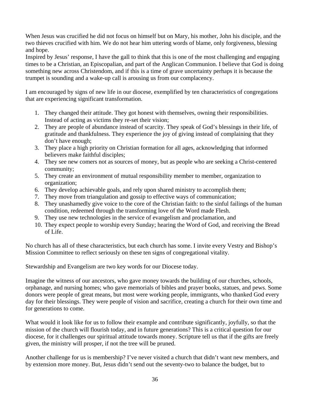When Jesus was crucified he did not focus on himself but on Mary, his mother, John his disciple, and the two thieves crucified with him. We do not hear him uttering words of blame, only forgiveness, blessing and hope.

Inspired by Jesus' response, I have the gall to think that this is one of the most challenging and engaging times to be a Christian, an Episcopalian, and part of the Anglican Communion. I believe that God is doing something new across Christendom, and if this is a time of grave uncertainty perhaps it is because the trumpet is sounding and a wake-up call is arousing us from our complacency.

I am encouraged by signs of new life in our diocese, exemplified by ten characteristics of congregations that are experiencing significant transformation.

- 1. They changed their attitude. They got honest with themselves, owning their responsibilities. Instead of acting as victims they re-set their vision;
- 2. They are people of abundance instead of scarcity. They speak of God's blessings in their life, of gratitude and thankfulness. They experience the joy of giving instead of complaining that they don't have enough;
- 3. They place a high priority on Christian formation for all ages, acknowledging that informed believers make faithful disciples;
- 4. They see new comers not as sources of money, but as people who are seeking a Christ-centered community;
- 5. They create an environment of mutual responsibility member to member, organization to organization;
- 6. They develop achievable goals, and rely upon shared ministry to accomplish them;
- 7. They move from triangulation and gossip to effective ways of communication;
- 8. They unashamedly give voice to the core of the Christian faith: to the sinful failings of the human condition, redeemed through the transforming love of the Word made Flesh.
- 9. They use new technologies in the service of evangelism and proclamation, and
- 10. They expect people to worship every Sunday; hearing the Word of God, and receiving the Bread of Life.

No church has all of these characteristics, but each church has some. I invite every Vestry and Bishop's Mission Committee to reflect seriously on these ten signs of congregational vitality.

Stewardship and Evangelism are two key words for our Diocese today.

Imagine the witness of our ancestors, who gave money towards the building of our churches, schools, orphanage, and nursing homes; who gave memorials of bibles and prayer books, statues, and pews. Some donors were people of great means, but most were working people, immigrants, who thanked God every day for their blessings. They were people of vision and sacrifice, creating a church for their own time and for generations to come.

What would it look like for us to follow their example and contribute significantly, joyfully, so that the mission of the church will flourish today, and in future generations? This is a critical question for our diocese, for it challenges our spiritual attitude towards money. Scripture tell us that if the gifts are freely given, the ministry will prosper, if not the tree will be pruned.

Another challenge for us is membership? I've never visited a church that didn't want new members, and by extension more money. But, Jesus didn't send out the seventy-two to balance the budget, but to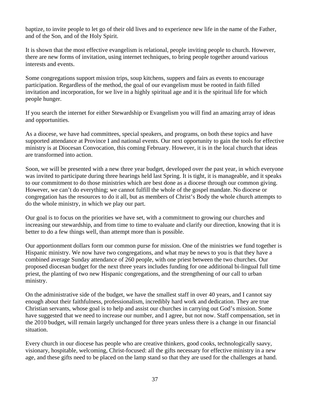baptize, to invite people to let go of their old lives and to experience new life in the name of the Father, and of the Son, and of the Holy Spirit.

It is shown that the most effective evangelism is relational, people inviting people to church. However, there are new forms of invitation, using internet techniques, to bring people together around various interests and events.

Some congregations support mission trips, soup kitchens, suppers and fairs as events to encourage participation. Regardless of the method, the goal of our evangelism must be rooted in faith filled invitation and incorporation, for we live in a highly spiritual age and it is the spiritual life for which people hunger.

If you search the internet for either Stewardship or Evangelism you will find an amazing array of ideas and opportunities.

As a diocese, we have had committees, special speakers, and programs, on both these topics and have supported attendance at Province I and national events. Our next opportunity to gain the tools for effective ministry is at Diocesan Convocation, this coming February. However, it is in the local church that ideas are transformed into action.

Soon, we will be presented with a new three year budget, developed over the past year, in which everyone was invited to participate during three hearings held last Spring. It is tight, it is manageable, and it speaks to our commitment to do those ministries which are best done as a diocese through our common giving. However, we can't do everything; we cannot fulfill the whole of the gospel mandate. No diocese or congregation has the resources to do it all, but as members of Christ's Body the whole church attempts to do the whole ministry, in which we play our part.

Our goal is to focus on the priorities we have set, with a commitment to growing our churches and increasing our stewardship, and from time to time to evaluate and clarify our direction, knowing that it is better to do a few things well, than attempt more than is possible.

Our apportionment dollars form our common purse for mission. One of the ministries we fund together is Hispanic ministry. We now have two congregations, and what may be news to you is that they have a combined average Sunday attendance of 260 people, with one priest between the two churches. Our proposed diocesan budget for the next three years includes funding for one additional bi-lingual full time priest, the planting of two new Hispanic congregations, and the strengthening of our call to urban ministry.

On the administrative side of the budget, we have the smallest staff in over 40 years, and I cannot say enough about their faithfulness, professionalism, incredibly hard work and dedication. They are true Christian servants, whose goal is to help and assist our churches in carrying out God's mission. Some have suggested that we need to increase our number, and I agree, but not now. Staff compensation, set in the 2010 budget, will remain largely unchanged for three years unless there is a change in our financial situation.

Every church in our diocese has people who are creative thinkers, good cooks, technologically saavy, visionary, hospitable, welcoming, Christ-focused: all the gifts necessary for effective ministry in a new age, and these gifts need to be placed on the lamp stand so that they are used for the challenges at hand.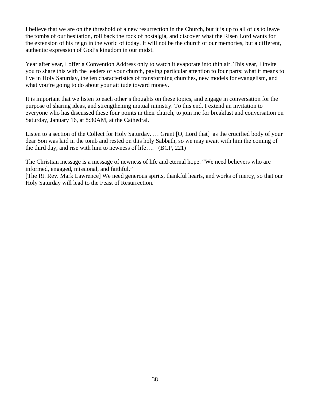I believe that we are on the threshold of a new resurrection in the Church, but it is up to all of us to leave the tombs of our hesitation, roll back the rock of nostalgia, and discover what the Risen Lord wants for the extension of his reign in the world of today. It will not be the church of our memories, but a different, authentic expression of God's kingdom in our midst.

Year after year, I offer a Convention Address only to watch it evaporate into thin air. This year, I invite you to share this with the leaders of your church, paying particular attention to four parts: what it means to live in Holy Saturday, the ten characteristics of transforming churches, new models for evangelism, and what you're going to do about your attitude toward money.

It is important that we listen to each other's thoughts on these topics, and engage in conversation for the purpose of sharing ideas, and strengthening mutual ministry. To this end, I extend an invitation to everyone who has discussed these four points in their church, to join me for breakfast and conversation on Saturday, January 16, at 8:30AM, at the Cathedral.

Listen to a section of the Collect for Holy Saturday. ... Grant [O, Lord that] as the crucified body of your dear Son was laid in the tomb and rested on this holy Sabbath, so we may await with him the coming of the third day, and rise with him to newness of life…. (BCP, 221)

The Christian message is a message of newness of life and eternal hope. "We need believers who are informed, engaged, missional, and faithful."

[The Rt. Rev. Mark Lawrence] We need generous spirits, thankful hearts, and works of mercy, so that our Holy Saturday will lead to the Feast of Resurrection.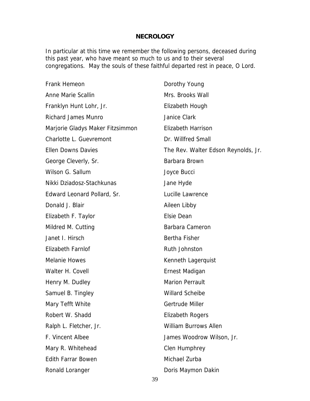## **NECROLOGY**

In particular at this time we remember the following persons, deceased during this past year, who have meant so much to us and to their several congregations. May the souls of these faithful departed rest in peace, O Lord.

| Frank Hemeon                     | Dorothy Young                       |  |
|----------------------------------|-------------------------------------|--|
| Anne Marie Scallin               | Mrs. Brooks Wall                    |  |
| Franklyn Hunt Lohr, Jr.          | Elizabeth Hough                     |  |
| <b>Richard James Munro</b>       | Janice Clark                        |  |
| Marjorie Gladys Maker Fitzsimmon | <b>Elizabeth Harrison</b>           |  |
| Charlotte L. Guevremont          | Dr. Willfred Small                  |  |
| <b>Ellen Downs Davies</b>        | The Rev. Walter Edson Reynolds, Jr. |  |
| George Cleverly, Sr.             | Barbara Brown                       |  |
| Wilson G. Sallum                 | Joyce Bucci                         |  |
| Nikki Dziadosz-Stachkunas        | Jane Hyde                           |  |
| Edward Leonard Pollard, Sr.      | Lucille Lawrence                    |  |
| Donald J. Blair                  | Aileen Libby                        |  |
| Elizabeth F. Taylor              | <b>Elsie Dean</b>                   |  |
| Mildred M. Cutting               | Barbara Cameron                     |  |
| Janet I. Hirsch                  | Bertha Fisher                       |  |
| Elizabeth Farnlof                | Ruth Johnston                       |  |
| <b>Melanie Howes</b>             | Kenneth Lagerquist                  |  |
| Walter H. Covell                 | Ernest Madigan                      |  |
| Henry M. Dudley                  | <b>Marion Perrault</b>              |  |
| Samuel B. Tingley                | <b>Willard Scheibe</b>              |  |
| Mary Tefft White                 | Gertrude Miller                     |  |
| Robert W. Shadd                  | <b>Elizabeth Rogers</b>             |  |
| Ralph L. Fletcher, Jr.           | <b>William Burrows Allen</b>        |  |
| F. Vincent Albee                 | James Woodrow Wilson, Jr.           |  |
| Mary R. Whitehead                | Clen Humphrey                       |  |
| <b>Edith Farrar Bowen</b>        | Michael Zurba                       |  |
| Ronald Loranger                  | Doris Maymon Dakin                  |  |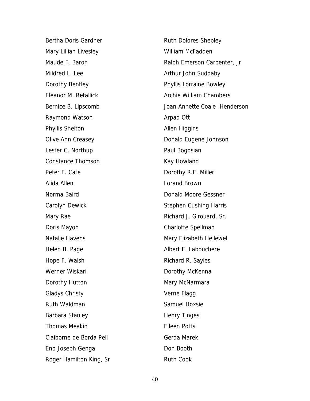Bertha Doris Gardner Mary Lillian Livesley Maude F. Baron Mildred L. Lee Dorothy Bentley Eleanor M. Retallick Bernice B. Lipscomb Raymond Watson Phyllis Shelton Olive Ann Creasey Lester C. Northup Constance Thomson Peter E. Cate Alida Allen Norma Baird Carolyn Dewick Mary Rae Doris Mayoh Natalie Havens Helen B. Page Hope F. Walsh Werner Wiskari Dorothy Hutton Gladys Christy Ruth Waldman Barbara Stanley Thomas Meakin Claiborne de Borda Pell Eno Joseph Genga Roger Hamilton King, Sr

Ruth Dolores Shepley William McFadden Ralph Emerson Carpenter, Jr Arthur John Suddaby Phyllis Lorraine Bowley Archie William Chambers Joan Annette Coale Henderson Arpad Ott Allen Higgins Donald Eugene Johnson Paul Bogosian Kay Howland Dorothy R.E. Miller Lorand Brown Donald Moore Gessner Stephen Cushing Harris Richard J. Girouard, Sr. Charlotte Spellman Mary Elizabeth Hellewell Albert E. Labouchere Richard R. Sayles Dorothy McKenna Mary McNarmara Verne Flagg Samuel Hoxsie Henry Tinges Eileen Potts Gerda Marek Don Booth Ruth Cook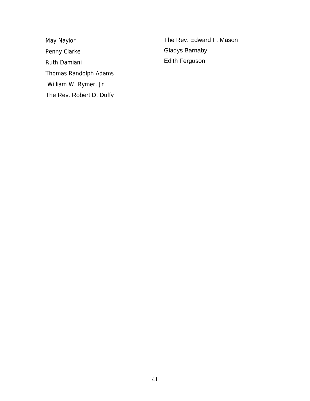May Naylor Penny Clarke Ruth Damiani Thomas Randolph Adams William W. Rymer, Jr The Rev. Robert D. Duffy The Rev. Edward F. Mason Gladys Barnaby Edith Ferguson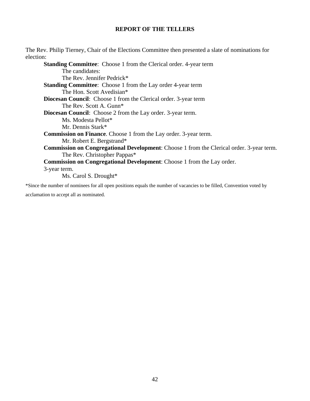## **REPORT OF THE TELLERS**

The Rev. Philip Tierney, Chair of the Elections Committee then presented a slate of nominations for election:

**Standing Committee:** Choose 1 from the Clerical order. 4-year term The candidates: The Rev. Jennifer Pedrick\* **Standing Committee**: Choose 1 from the Lay order 4-year term The Hon. Scott Avedisian\* **Diocesan Council**: Choose 1 from the Clerical order. 3-year term The Rev. Scott A. Gunn\* **Diocesan Council**: Choose 2 from the Lay order. 3-year term. Ms. Modesta Pellot\* Mr. Dennis Stark\* **Commission on Finance**. Choose 1 from the Lay order. 3-year term. Mr. Robert E. Bergstrand\* **Commission on Congregational Development**: Choose 1 from the Clerical order. 3-year term. The Rev. Christopher Pappas\* **Commission on Congregational Development**: Choose 1 from the Lay order. 3-year term. Ms. Carol S. Drought\*

\*Since the number of nominees for all open positions equals the number of vacancies to be filled, Convention voted by acclamation to accept all as nominated.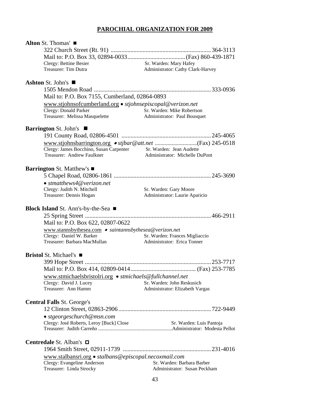# **PAROCHIAL ORGANIZATION FOR 2009**

| Alton St. Thomas'                                                                  |                                   |
|------------------------------------------------------------------------------------|-----------------------------------|
|                                                                                    |                                   |
|                                                                                    |                                   |
| Clergy: Bettine Besier                                                             | Sr. Warden: Mary Hafey            |
| Treasurer: Tim Dutra                                                               | Administrator: Cathy Clark-Harvey |
| Ashton St. John's $\blacksquare$                                                   |                                   |
|                                                                                    |                                   |
| Mail to: P.O. Box 7155, Cumberland, 02864-0893                                     |                                   |
| www.stjohnsofcumberland.org • stjohnsepiscopal@verizon.net                         |                                   |
| Clergy: Donald Parker                                                              | Sr. Warden: Mike Robertson        |
| Treasurer: Melissa Masquelette                                                     | Administrator: Paul Bousquet      |
| <b>Barrington St. John's</b>                                                       |                                   |
|                                                                                    |                                   |
|                                                                                    |                                   |
| Clergy: James Bocchino, Susan Carpenter Sr. Warden: Jean Audette                   |                                   |
| Treasurer: Andrew Faulkner                                                         | Administrator: Michelle DuPont    |
|                                                                                    |                                   |
| <b>Barrington St. Matthew's</b> ■                                                  |                                   |
|                                                                                    |                                   |
| $\bullet$ stmatthews4@verizon.net                                                  |                                   |
| Clergy: Judith N. Mitchell                                                         | Sr. Warden: Gary Moore            |
| Treasurer: Dennis Hogan                                                            | Administrator: Laurie Aparicio    |
|                                                                                    |                                   |
| Block Island St. Ann's-by-the-Sea ■                                                |                                   |
|                                                                                    |                                   |
| Mail to: P.O. Box 622, 02807-0622                                                  |                                   |
| www.stannsbythesea.com • saintannsbythesea@verizon.net                             |                                   |
| Clergy: Daniel W. Barker                                                           | Sr. Warden: Frances Migliaccio    |
| Treasurer: Barbara MacMullan                                                       | Administrator: Erica Tonner       |
| <b>Bristol</b> St. Michael's $\blacksquare$                                        |                                   |
|                                                                                    |                                   |
|                                                                                    |                                   |
|                                                                                    |                                   |
| www.stmichaelsbristolri.org • stmichaels@fullchannel.net<br>Clergy: David J. Lucey | Sr. Warden: John Reskusich        |
| Treasurer: Ann Hamm                                                                | Administrator: Elizabeth Vargas   |
|                                                                                    |                                   |
| <b>Central Falls St. George's</b>                                                  |                                   |
|                                                                                    |                                   |
| • stgeorgeschurch@msn.com                                                          |                                   |
| Clergy: José Roberts, Leroy [Buck] Close                                           | Sr. Warden: Luis Pantoja          |
|                                                                                    |                                   |
|                                                                                    |                                   |
| Centredale St. Alban's <b>□</b>                                                    |                                   |
|                                                                                    |                                   |
| www.stalbansri.org • stalbans@episcopal.necoxmail.com                              |                                   |
| Clergy: Evangeline Anderson                                                        | Sr. Warden: Barbara Barber        |
| Treasurer: Linda Strocky                                                           | Administrator: Susan Peckham      |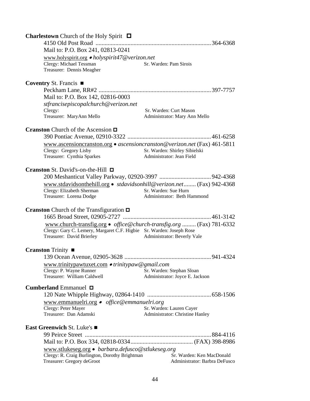| <b>Charlestown</b> Church of the Holy Spirit $\Box$                                                                                                                       |                                                              |
|---------------------------------------------------------------------------------------------------------------------------------------------------------------------------|--------------------------------------------------------------|
|                                                                                                                                                                           |                                                              |
| Mail to: P.O. Box 241, 02813-0241                                                                                                                                         |                                                              |
| www.holyspirit.org • holyspirit47@verizon.net<br>Clergy: Michael Tessman<br>Treasurer: Dennis Meagher                                                                     | Sr. Warden: Pam Sirois                                       |
| <b>Coventry St. Francis</b> $\blacksquare$                                                                                                                                |                                                              |
| Mail to: P.O. Box 142, 02816-0003<br>stfrancisepiscopalchurch@verizon.net<br>Clergy:                                                                                      | Sr. Warden: Curt Mason                                       |
| Treasurer: MaryAnn Mello                                                                                                                                                  | Administrator: Mary Ann Mello                                |
| <b>Cranston</b> Church of the Ascension $\Box$                                                                                                                            |                                                              |
| www.ascensioncranston.org • ascensioncranston@verizon.net (Fax) 461-5811<br>Clergy: Gregory Lisby<br>Treasurer: Cynthia Sparkes                                           | Sr. Warden: Shirley Sibielski<br>Administrator: Jean Field   |
| <b>Cranston</b> St. David's-on-the-Hill $\Box$                                                                                                                            |                                                              |
|                                                                                                                                                                           |                                                              |
| www.stdavidsonthehill.org • stdavidsonhill@verizon.net (Fax) 942-4368<br>Clergy: Elizabeth Sherman<br>Treasurer: Lorena Dodge                                             | Sr. Warden: Sue Hurn<br>Administrator: Beth Hammond          |
| <b>Cranston</b> Church of the Transfiguration $\Box$                                                                                                                      |                                                              |
|                                                                                                                                                                           |                                                              |
| www.church-transfig.org • office@church-transfig.org  (Fax) 781-6332<br>Clergy: Gary C. Lemery, Margaret C.F. Higbie Sr. Warden: Joseph Rose<br>Treasurer: David Brierley | Administrator: Beverly Vale                                  |
| <b>Cranston</b> Trinity ■                                                                                                                                                 |                                                              |
| www.trinitypawtuxet.com • trinitypaw@gmail.com                                                                                                                            |                                                              |
| Clergy: P. Wayne Runner<br>Treasurer: William Caldwell                                                                                                                    | Sr. Warden: Stephan Sloan<br>Administrator: Joyce E. Jackson |
| <b>Cumberland</b> Emmanuel $\Box$                                                                                                                                         |                                                              |
|                                                                                                                                                                           |                                                              |
| www.emmanuelri.org • office@emmanuelri.org                                                                                                                                |                                                              |
| Clergy: Peter Mayer<br>Treasurer: Dan Adamski                                                                                                                             | Sr. Warden: Lauren Cayer<br>Administrator: Christine Hanley  |
|                                                                                                                                                                           |                                                              |
| <b>East Greenwich St. Luke's</b> ■                                                                                                                                        |                                                              |
|                                                                                                                                                                           |                                                              |
| www.stlukeseg.org · barbara.defusco@stlukeseg.org                                                                                                                         |                                                              |
| Clergy: R. Craig Burlington, Dorothy Brightman<br>Treasurer: Gregory deGroot                                                                                              | Sr. Warden: Ken MacDonald<br>Administrator: Barbra DeFusco   |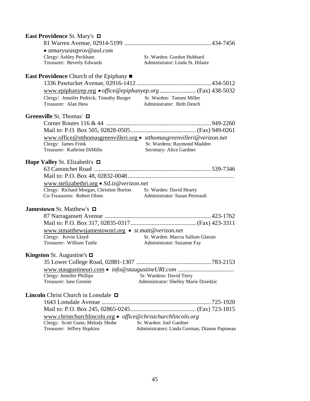| East Providence St. Mary's □                                      |                                                                        |
|-------------------------------------------------------------------|------------------------------------------------------------------------|
|                                                                   |                                                                        |
| • stmaryseastprov@aol.com                                         |                                                                        |
| Clergy: Ashley Peckham                                            | Sr. Warden: Gordon Hubbard                                             |
| Treasurer: Beverly Edwards                                        | Administrator: Linda St. Hilaire                                       |
| <b>East Providence</b> Church of the Epiphany $\blacksquare$      |                                                                        |
|                                                                   |                                                                        |
|                                                                   |                                                                        |
| Clergy: Jennifer Pedrick; Timothy Burger                          | Sr. Warden: Tammi Miller                                               |
| Treasurer: Alan Hess                                              | Administrator: Beth Dench                                              |
| Greenville St. Thomas' □                                          |                                                                        |
|                                                                   |                                                                        |
|                                                                   |                                                                        |
|                                                                   | www.office@stthomasgreenvilleri.org • stthomasgreenvilleri@verizon.net |
| Clergy: James Frink                                               | Sr. Wardens: Raymond Madden                                            |
| Treasurer: Kathrine DiMillo                                       | Secretary: Alice Gardner                                               |
| <b>Hope Valley St. Elizabeth's <math>\Box</math></b>              |                                                                        |
|                                                                   |                                                                        |
|                                                                   |                                                                        |
| www.stelizabethri.org • StLiz@verizon.net                         |                                                                        |
| Clergy: Richard Morgan, Christine Burton Sr. Warden: David Hearty |                                                                        |
| Co-Treasurers: Robert Olsen                                       | Administrator: Susan Perreault                                         |
| <b>Jamestown St. Matthew's <math>\Box</math></b>                  |                                                                        |
|                                                                   |                                                                        |
|                                                                   |                                                                        |
| www.stmatthewsjamestownri.org • st.matt@verizon.net               |                                                                        |
| Clergy: Kevin Lloyd                                               | Sr. Warden: Marcia Sallum Glassie                                      |
| Treasurer: William Tuttle                                         | Administrator: Suzanne Fay                                             |
| <b>Kingston</b> St. Augustine's $\Box$                            |                                                                        |
|                                                                   |                                                                        |
|                                                                   |                                                                        |
| Clergy: Jennifer Phillips                                         | Sr. Wardens: David Terry                                               |
| Treasurer: Jane Grenier                                           | Administrator: Shelley Marie Dziedzic                                  |
| <b>Lincoln</b> Christ Church in Lonsdale $\Box$                   |                                                                        |
|                                                                   |                                                                        |
|                                                                   |                                                                        |
| www.christchurchlincoln.org · office@christchurchlincoln.org      |                                                                        |
| Clergy: Scott Gunn; Melody Shobe                                  | Sr. Warden: Joel Gardner                                               |
| Treasurer: Jeffrey Hopkins                                        | Administrators: Linda Gorman, Dianne Papineau                          |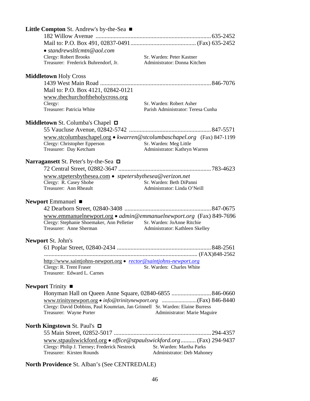| <b>Little Compton St. Andrew's by-the-Sea</b> $\blacksquare$                  |                                                                            |
|-------------------------------------------------------------------------------|----------------------------------------------------------------------------|
|                                                                               |                                                                            |
|                                                                               |                                                                            |
| $\bullet$ standrewsltlcmtn@aol.com                                            |                                                                            |
| <b>Clergy: Robert Brooks</b>                                                  | Sr. Warden: Peter Kastner                                                  |
| Treasurer: Frederick Buhrendorf, Jr.                                          | Administrator: Donna Kitchen                                               |
|                                                                               |                                                                            |
| <b>Middletown Holy Cross</b>                                                  |                                                                            |
|                                                                               |                                                                            |
| Mail to: P.O. Box 4121, 02842-0121                                            |                                                                            |
| www.thechurchoftheholycross.org                                               |                                                                            |
| Clergy:<br>Treasurer: Patricia White                                          | Sr. Warden: Robert Asher<br>Parish Administrator: Teresa Cunha             |
|                                                                               |                                                                            |
| <b>Middletown St. Columba's Chapel <math>\Box</math></b>                      |                                                                            |
|                                                                               |                                                                            |
|                                                                               | www.stcolumbaschapel.org • kwarren@stcolumbaschapel.org (Fax) 847-1199     |
| Clergy: Christopher Epperson                                                  | Sr. Warden: Meg Little                                                     |
| Treasurer: Day Ketcham                                                        | Administrator: Kathryn Warren                                              |
|                                                                               |                                                                            |
| Narragansett St. Peter's by-the-Sea $\Box$                                    |                                                                            |
|                                                                               |                                                                            |
| www.stpetersbythesea.com • stpetersbythesea@verizon.net                       |                                                                            |
| Clergy: R. Casey Shobe                                                        | Sr. Warden: Beth DiPanni                                                   |
| Treasurer: Ann Rheault                                                        | Administrator: Linda O'Neill                                               |
|                                                                               |                                                                            |
| Newport Emmanuel ■                                                            |                                                                            |
|                                                                               |                                                                            |
|                                                                               | www.emmanuelnewport.org • $\alpha$ dmin@emmanuelnewport.org (Fax) 849-7696 |
| Clergy: Stephanie Shoemaker, Ann Pelletier Sr. Warden: JoAnne Ritchie         |                                                                            |
| Treasurer: Anne Sherman                                                       | Administrator: Kathleen Skelley                                            |
| <b>Newport St. John's</b>                                                     |                                                                            |
|                                                                               |                                                                            |
|                                                                               |                                                                            |
| http://www.saintjohns-newport.org • rector@saintjohns-newport.org             |                                                                            |
| Clergy: R. Trent Fraser                                                       | Sr. Warden: Charles White                                                  |
| Treasurer: Edward L. Carnes                                                   |                                                                            |
|                                                                               |                                                                            |
| <b>Newport</b> Trinity $\blacksquare$                                         |                                                                            |
|                                                                               | Honyman Hall on Queen Anne Square, 02840-6855 846-0660                     |
|                                                                               |                                                                            |
| Clergy: David Dobbins, Paul Koumrian, Jan Grinnell Sr. Warden: Elaine Burress |                                                                            |
| Treasurer: Wayne Porter                                                       | Administrator: Marie Maguire                                               |
|                                                                               |                                                                            |
| <b>North Kingstown St. Paul's <math>\Box</math></b>                           |                                                                            |
|                                                                               |                                                                            |
|                                                                               | www.stpaulswickford.org · office@stpaulswickford.org  (Fax) 294-9437       |
| Clergy: Philip J. Tierney; Frederick Nestrock                                 | Sr. Warden: Martha Parks                                                   |
| Treasurer: Kirsten Rounds                                                     | Administrator: Deb Mahoney                                                 |
| North Providence St. Alban's (See CENTREDALE)                                 |                                                                            |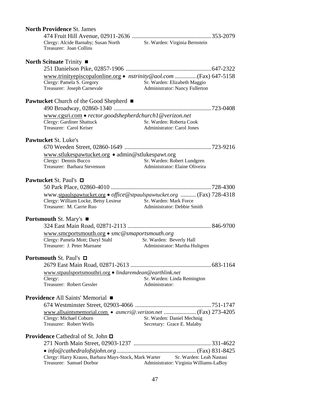| <b>North Providence St. James</b>                                                                                                                                 |                                                                                             |
|-------------------------------------------------------------------------------------------------------------------------------------------------------------------|---------------------------------------------------------------------------------------------|
| Clergy: Alcide Barnaby; Susan North Sr. Warden: Virginia Bernstein<br>Treasurer: Joan Collins                                                                     |                                                                                             |
| <b>North Scituate Trinity <math>\blacksquare</math></b>                                                                                                           |                                                                                             |
| www.trinityepiscopalonline.org • nstrinity@aol.com (Fax) 647-5158<br>Clergy: Pamela S. Gregory<br>Treasurer: Joseph Carnevale                                     | Sr. Warden: Elizabeth Maggio<br>Administrator: Nancy Fullerton                              |
| <b>Pawtucket</b> Church of the Good Shepherd ■                                                                                                                    |                                                                                             |
| www.cgsri.com • rector.goodshepherdchurch1@verizon.net<br>Clergy: Gardiner Shattuck<br>Treasurer: Carol Keiser                                                    | Sr. Warden: Roberta Cook<br>Administrator: Carol Jones<br><b>Administrator: Carol Jones</b> |
| Pawtucket St. Luke's                                                                                                                                              |                                                                                             |
|                                                                                                                                                                   |                                                                                             |
| www.stlukespawtucket.org • admin@stlukespawt.org<br>Clergy: Dennis Bucco<br>Treasurer: Barbara Stevenson                                                          | Sr. Warden: Robert Lundgren<br>Administrator: Elaine Oliveira                               |
| <b>Pawtucket St. Paul's</b> □                                                                                                                                     |                                                                                             |
| www.stpaulspawtucket.org • office@stpaulspawtucket.org  (Fax) 728-4318<br>Clergy: William Locke, Betsy Lesieur Sr. Warden: Mark Force<br>Treasurer: M. Carrie Ruo | Administrator: Debbie Smith                                                                 |
| <b>Portsmouth St. Mary's <math>\blacksquare</math></b>                                                                                                            |                                                                                             |
| www.smcportsmouth.org • smc@smaportsmouth.org<br>Clergy: Pamela Mott; Daryl Stahl<br>Treasurer: J. Peter Marnane                                                  | Sr. Warden: Beverly Hall<br>Administrator: Martha Hultgren                                  |
| <b>Portsmouth St. Paul's</b> □                                                                                                                                    |                                                                                             |
| www.stpaulsportsmouthri.org · lindaremdean@earthlink.net<br>Clergy:<br>Treasurer: Robert Gessler                                                                  | Sr. Warden: Linda Remington<br>Administrator:                                               |
| <b>Providence All Saints' Memorial</b> ■                                                                                                                          |                                                                                             |
| Clergy: Michael Coburn<br>Treasurer: Robert Wells                                                                                                                 | Sr. Warden: Daniel Mechnig<br>Secretary: Grace E. Malaby                                    |
| <b>Providence</b> Cathedral of St. John $\Box$                                                                                                                    |                                                                                             |
|                                                                                                                                                                   |                                                                                             |
| Clergy: Harry Krauss, Barbara Mays-Stock, Mark Warter Sr. Warden: Leah Nastasi<br>Treasurer: Samuel Dorbor                                                        | Administrator: Virginia Williams-LaBoy                                                      |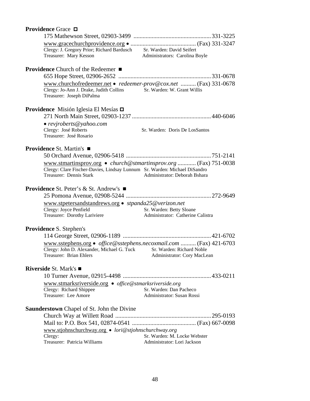| Providence Grace □                                                                                                                         |                                                               |
|--------------------------------------------------------------------------------------------------------------------------------------------|---------------------------------------------------------------|
|                                                                                                                                            |                                                               |
|                                                                                                                                            |                                                               |
| Clergy: J. Gregory Prior; Richard Bardusch Sr. Warden: David Seifert<br>Treasurer: Mary Kesson Administrators: Carolina Boyle              |                                                               |
|                                                                                                                                            |                                                               |
|                                                                                                                                            |                                                               |
| <b>Providence</b> Church of the Redeemer ■                                                                                                 |                                                               |
|                                                                                                                                            |                                                               |
| www.churchofredeemer.net • redeemer-prov@cox.net  (Fax) 331-0678                                                                           |                                                               |
| Clergy: Jo-Ann J. Drake, Judith Collins Sr. Warden: W. Grant Willis                                                                        |                                                               |
| Treasurer: Joseph DiPalma                                                                                                                  |                                                               |
|                                                                                                                                            |                                                               |
| Providence Misión Iglesia El Mesías □                                                                                                      |                                                               |
|                                                                                                                                            |                                                               |
| $\bullet$ revjroberts@yahoo.com                                                                                                            |                                                               |
| Clergy: José Roberts                                                                                                                       | Sr. Warden: Doris De LosSantos                                |
| Treasurer: José Rosario                                                                                                                    |                                                               |
|                                                                                                                                            |                                                               |
| <b>Providence St. Martin's</b> ■                                                                                                           |                                                               |
|                                                                                                                                            |                                                               |
| www.stmartinsprov.org • church@stmartinsprov.org  (Fax) 751-0038                                                                           |                                                               |
| Clergy: Clare Fischer-Davies, Lindsay Lunnum Sr. Warden: Michael DiSandro                                                                  |                                                               |
| Treasurer: Dennis Stark                                                                                                                    | Administrator: Deborah Bshara                                 |
| <b>Providence St. Peter's &amp; St. Andrew's <math>\blacksquare</math></b>                                                                 |                                                               |
|                                                                                                                                            |                                                               |
|                                                                                                                                            |                                                               |
| www.stpetersandstandrews.org • stpanda25@verizon.net                                                                                       |                                                               |
| Clergy: Joyce Penfield<br>Treasurer: Dorothy Lariviere                                                                                     | Sr. Warden: Betty Sloane<br>Administrator: Catherine Calistra |
|                                                                                                                                            |                                                               |
| <b>Providence S. Stephen's</b>                                                                                                             |                                                               |
|                                                                                                                                            |                                                               |
|                                                                                                                                            |                                                               |
| www.sstephens.org • office@sstephens.necoxmail.com  (Fax) 421-6703<br>Clergy: John D. Alexander, Michael G. Tuck Sr. Warden: Richard Noble |                                                               |
| Treasurer: Brian Ehlers                                                                                                                    | Administrator: Cory MacLean                                   |
|                                                                                                                                            |                                                               |
| <b>Riverside St. Mark's</b> ■                                                                                                              |                                                               |
|                                                                                                                                            |                                                               |
| www.stmarksriverside.org • office@stmarksriverside.org                                                                                     |                                                               |
| Clergy: Richard Shippee                                                                                                                    | Sr. Warden: Dan Pacheco                                       |
| Treasurer: Lee Amore                                                                                                                       | Administrator: Susan Rossi                                    |
|                                                                                                                                            |                                                               |
| <b>Saunderstown</b> Chapel of St. John the Divine                                                                                          |                                                               |
|                                                                                                                                            |                                                               |
|                                                                                                                                            |                                                               |
| www.stjohnschurchway.org · lori@stjohnschurchway.org                                                                                       |                                                               |
| Clergy:                                                                                                                                    | Sr. Warden: M. Locke Webster                                  |
| Treasurer: Patricia Williams                                                                                                               | Administrator: Lori Jackson                                   |
|                                                                                                                                            |                                                               |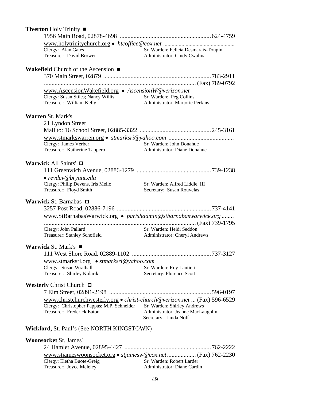| Tiverton Holy Trinity ■                                                  |                                                                      |
|--------------------------------------------------------------------------|----------------------------------------------------------------------|
|                                                                          |                                                                      |
|                                                                          |                                                                      |
| Clergy: Alan Gates<br>Treasurer: David Brower                            | Sr. Warden: Felicia Desmarais-Toupin<br>Administrator: Cindy Cwalina |
| <b>Wakefield</b> Church of the Ascension $\blacksquare$                  |                                                                      |
|                                                                          |                                                                      |
|                                                                          |                                                                      |
| www.AscensionWakefield.org • AscensionW@verizon.net                      |                                                                      |
| Clergy: Susan Stiles; Nancy Willis<br>Treasurer: William Kelly           | Sr. Warden: Peg Collins<br>Administrator: Marjorie Perkins           |
| <b>Warren St. Mark's</b>                                                 |                                                                      |
| 21 Lyndon Street                                                         |                                                                      |
|                                                                          |                                                                      |
|                                                                          |                                                                      |
| Clergy: James Verber                                                     | Sr. Warden: John Donahue<br>Administrator: Diane Donahue             |
| Treasurer: Katherine Tappero                                             |                                                                      |
| Warwick All Saints' $\Box$                                               |                                                                      |
|                                                                          |                                                                      |
| $\bullet$ revdev@bryant.edu                                              |                                                                      |
| Clergy: Philip Devens, Iris Mello                                        | Sr. Warden: Alfred Liddle, III                                       |
| Treasurer: Floyd Smith                                                   | Secretary: Susan Rouvelas                                            |
| Warwick St. Barnabas $\Box$                                              |                                                                      |
|                                                                          |                                                                      |
| www.StBarnabasWarwick.org • parishadmin@stbarnabaswarwick.org            |                                                                      |
| Clergy: John Pallard                                                     | Sr. Warden: Heidi Seddon                                             |
| Treasurer: Stanley Schofield                                             | Administrator: Cheryl Andrews                                        |
| Warwick St. Mark's ■                                                     |                                                                      |
|                                                                          |                                                                      |
| www.stmarksri.org • stmarksri@yahoo.com                                  |                                                                      |
| Clergy: Susan Wrathall                                                   | Sr. Warden: Roy Lautieri                                             |
| Treasurer: Shirley Kolarik                                               | Secretary: Florence Scott                                            |
| <b>Westerly Christ Church <math>\Box</math></b>                          |                                                                      |
|                                                                          |                                                                      |
| www.christchurchwesterly.org • christ-church@verizon.net  (Fax) 596-6529 |                                                                      |
| Clergy: Christopher Pappas; M.P. Schneider                               | Sr. Warden: Shirley Andrews                                          |
| Treasurer: Frederick Eaton                                               | Administrator: Jeanne MacLaughlin<br>Secretary: Linda Nolf           |
| <b>Wickford, St. Paul's (See NORTH KINGSTOWN)</b>                        |                                                                      |
| <b>Woonsocket St. James'</b>                                             |                                                                      |
|                                                                          |                                                                      |
| www.stjameswoonsocket.org • stjamesw@cox.net (Fax) 762-2230              |                                                                      |
| Clergy: Eletha Buote-Greig                                               | Sr. Warden: Robert Larder                                            |

Treasurer: Joyce Meleley **Administrator: Diane Cardin**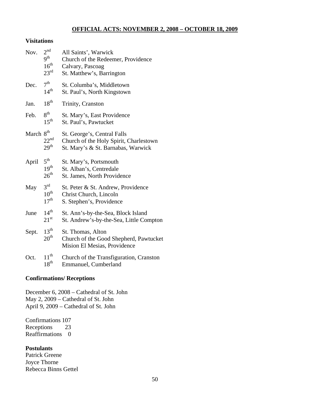## **OFFICIAL ACTS: NOVEMBER 2, 2008 – OCTOBER 18, 2009**

#### **Visitations**

| Nov.                  | 2 <sup>nd</sup><br>9 <sup>th</sup><br>$16^{\text{th}}$<br>23 <sup>rd</sup> | All Saints', Warwick<br>Church of the Redeemer, Providence<br>Calvary, Pascoag<br>St. Matthew's, Barrington |
|-----------------------|----------------------------------------------------------------------------|-------------------------------------------------------------------------------------------------------------|
| Dec.                  | 7 <sup>th</sup><br>14 <sup>th</sup>                                        | St. Columba's, Middletown<br>St. Paul's, North Kingstown                                                    |
| Jan.                  | 18 <sup>th</sup>                                                           | Trinity, Cranston                                                                                           |
| Feb.                  | 8 <sup>th</sup><br>15 <sup>th</sup>                                        | St. Mary's, East Providence<br>St. Paul's, Pawtucket                                                        |
| March 8 <sup>th</sup> | 22 <sup>nd</sup><br>29 <sup>th</sup>                                       | St. George's, Central Falls<br>Church of the Holy Spirit, Charlestown<br>St. Mary's & St. Barnabas, Warwick |
| April                 | $5^{\text{th}}$<br>19 <sup>th</sup><br>$26^{\text{th}}$                    | St. Mary's, Portsmouth<br>St. Alban's, Centredale<br>St. James, North Providence                            |
| May                   | $3^{\text{rd}}$<br>$10^{\text{th}}$<br>17 <sup>th</sup>                    | St. Peter & St. Andrew, Providence<br>Christ Church, Lincoln<br>S. Stephen's, Providence                    |
| June                  | 14 <sup>th</sup><br>$21^{\rm st}$                                          | St. Ann's-by-the-Sea, Block Island<br>St. Andrew's-by-the-Sea, Little Compton                               |
| Sept.                 | $13^{th}$<br>20 <sup>th</sup>                                              | St. Thomas, Alton<br>Church of the Good Shepherd, Pawtucket<br>Mision El Mesias, Providence                 |
| Oct.                  | $11^{th}$<br>$18^{th}$                                                     | Church of the Transfiguration, Cranston<br>Emmanuel, Cumberland                                             |

#### **Confirmations/ Receptions**

December 6, 2008 – Cathedral of St. John May 2, 2009 – Cathedral of St. John April 9, 2009 – Cathedral of St. John

Confirmations 107 Receptions 23 Reaffirmations 0

## **Postulants**

Patrick Greene Joyce Thorne Rebecca Binns Gettel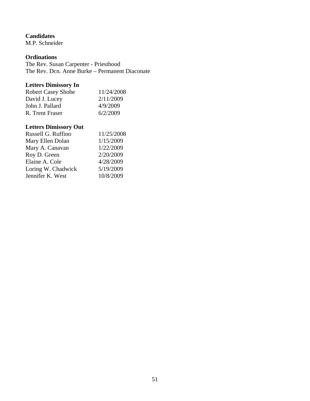### **Candidates**

M.P. Schneider

#### **Ordinations**

The Rev. Susan Carpenter - Priesthood The Rev. Dcn. Anne Burke – Permanent Diaconate

## **Letters Dimissory In**

| <b>Robert Casey Shobe</b> | 11/24/2008 |
|---------------------------|------------|
| David J. Lucey            | 2/11/2009  |
| John J. Pallard           | 4/9/2009   |
| R. Trent Fraser           | 6/2/2009   |

## **Letters Dimissory Out**

| Russell G. Ruffino | 11/25/2008 |
|--------------------|------------|
| Mary Ellen Dolan   | 1/15/2009  |
| Mary A. Canavan    | 1/22/2009  |
| Roy D. Green       | 2/20/2009  |
| Elaine A. Cole     | 4/28/2009  |
| Loring W. Chadwick | 5/19/2009  |
| Jennifer K. West   | 10/8/2009  |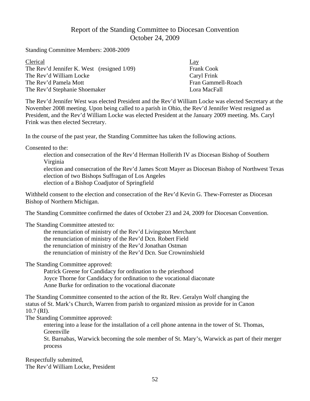# Report of the Standing Committee to Diocesan Convention October 24, 2009

Standing Committee Members: 2008-2009

| Clerical                                      | <u>Lay</u>         |
|-----------------------------------------------|--------------------|
| The Rev'd Jennifer K. West (resigned $1/09$ ) | <b>Frank Cook</b>  |
| The Rev'd William Locke                       | Caryl Frink        |
| The Rev'd Pamela Mott                         | Fran Gammell-Roach |
| The Rev'd Stephanie Shoemaker                 | Lora MacFall       |

The Rev'd Jennifer West was elected President and the Rev'd William Locke was elected Secretary at the November 2008 meeting. Upon being called to a parish in Ohio, the Rev'd Jennifer West resigned as President, and the Rev'd William Locke was elected President at the January 2009 meeting. Ms. Caryl Frink was then elected Secretary.

In the course of the past year, the Standing Committee has taken the following actions.

Consented to the:

election and consecration of the Rev'd Herman Hollerith IV as Diocesan Bishop of Southern Virginia

election and consecration of the Rev'd James Scott Mayer as Diocesan Bishop of Northwest Texas election of two Bishops Suffragan of Los Angeles election of a Bishop Coadjutor of Springfield

Withheld consent to the election and consecration of the Rev'd Kevin G. Thew-Forrester as Diocesan Bishop of Northern Michigan.

The Standing Committee confirmed the dates of October 23 and 24, 2009 for Diocesan Convention.

The Standing Committee attested to:

the renunciation of ministry of the Rev'd Livingston Merchant the renunciation of ministry of the Rev'd Dcn. Robert Field the renunciation of ministry of the Rev'd Jonathan Ostman the renunciation of ministry of the Rev'd Dcn. Sue Crowninshield

The Standing Committee approved:

Patrick Greene for Candidacy for ordination to the priesthood Joyce Thorne for Candidacy for ordination to the vocational diaconate Anne Burke for ordination to the vocational diaconate

The Standing Committee consented to the action of the Rt. Rev. Geralyn Wolf changing the status of St. Mark's Church, Warren from parish to organized mission as provide for in Canon 10.7 (RI).

The Standing Committee approved:

entering into a lease for the installation of a cell phone antenna in the tower of St. Thomas, **Greenville** 

St. Barnabas, Warwick becoming the sole member of St. Mary's, Warwick as part of their merger process

Respectfully submitted, The Rev'd William Locke, President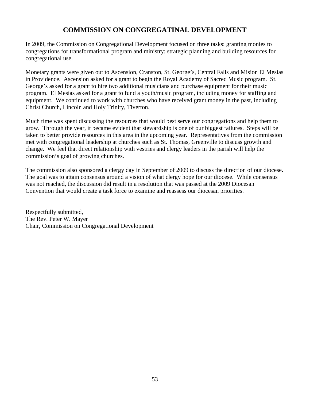# **COMMISSION ON CONGREGATINAL DEVELOPMENT**

In 2009, the Commission on Congregational Development focused on three tasks: granting monies to congregations for transformational program and ministry; strategic planning and building resources for congregational use.

Monetary grants were given out to Ascension, Cranston, St. George's, Central Falls and Mision El Mesias in Providence. Ascension asked for a grant to begin the Royal Academy of Sacred Music program. St. George's asked for a grant to hire two additional musicians and purchase equipment for their music program. El Mesias asked for a grant to fund a youth/music program, including money for staffing and equipment. We continued to work with churches who have received grant money in the past, including Christ Church, Lincoln and Holy Trinity, Tiverton.

Much time was spent discussing the resources that would best serve our congregations and help them to grow. Through the year, it became evident that stewardship is one of our biggest failures. Steps will be taken to better provide resources in this area in the upcoming year. Representatives from the commission met with congregational leadership at churches such as St. Thomas, Greenville to discuss growth and change. We feel that direct relationship with vestries and clergy leaders in the parish will help the commission's goal of growing churches.

The commission also sponsored a clergy day in September of 2009 to discuss the direction of our diocese. The goal was to attain consensus around a vision of what clergy hope for our diocese. While consensus was not reached, the discussion did result in a resolution that was passed at the 2009 Diocesan Convention that would create a task force to examine and reassess our diocesan priorities.

Respectfully submitted, The Rev. Peter W. Mayer Chair, Commission on Congregational Development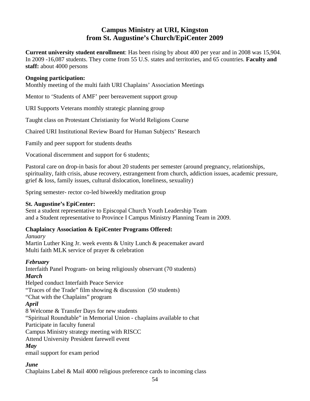# **Campus Ministry at URI, Kingston from St. Augustine's Church/EpiCenter 2009**

**Current university student enrollment**: Has been rising by about 400 per year and in 2008 was 15,904. In 2009 -16,087 students. They come from 55 U.S. states and territories, and 65 countries. **Faculty and staff:** about 4000 persons

#### **Ongoing participation:**

Monthly meeting of the multi faith URI Chaplains' Association Meetings

Mentor to 'Students of AMF' peer bereavement support group

URI Supports Veterans monthly strategic planning group

Taught class on Protestant Christianity for World Religions Course

Chaired URI Institutional Review Board for Human Subjects' Research

Family and peer support for students deaths

Vocational discernment and support for 6 students;

Pastoral care on drop-in basis for about 20 students per semester (around pregnancy, relationships, spirituality, faith crisis, abuse recovery, estrangement from church, addiction issues, academic pressure, grief & loss, family issues, cultural dislocation, loneliness, sexuality)

Spring semester- rector co-led biweekly meditation group

### **St. Augustine's EpiCenter:**

Sent a student representative to Episcopal Church Youth Leadership Team and a Student representative to Province I Campus Ministry Planning Team in 2009.

## **Chaplaincy Association & EpiCenter Programs Offered:**

#### *January*

Martin Luther King Jr. week events & Unity Lunch & peacemaker award Multi faith MLK service of prayer & celebration

## *February*

Interfaith Panel Program- on being religiously observant (70 students) *March*  Helped conduct Interfaith Peace Service "Traces of the Trade" film showing & discussion (50 students) "Chat with the Chaplains" program *April*  8 Welcome & Transfer Days for new students "Spiritual Roundtable" in Memorial Union - chaplains available to chat Participate in faculty funeral Campus Ministry strategy meeting with RISCC Attend University President farewell event *May* 

email support for exam period

## *June*

Chaplains Label & Mail 4000 religious preference cards to incoming class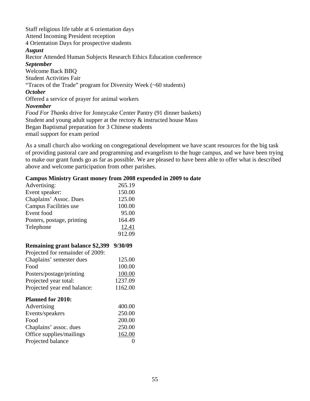Staff religious life table at 6 orientation days Attend Incoming President reception 4 Orientation Days for prospective students *August*  Rector Attended Human Subjects Research Ethics Education conference *September*  Welcome Back BBQ Student Activities Fair "Traces of the Trade" program for Diversity Week (~60 students) *October*  Offered a service of prayer for animal workers *November Food For Thanks* drive for Jonnycake Center Pantry (91 dinner baskets) Student and young adult supper at the rectory & instructed house Mass Began Baptismal preparation for 3 Chinese students email support for exam period

As a small church also working on congregational development we have scant resources for the big task of providing pastoral care and programming and evangelism to the huge campus, and we have been trying to make our grant funds go as far as possible. We are pleased to have been able to offer what is described above and welcome participation from other parishes.

### **Campus Ministry Grant money from 2008 expended in 2009 to date**

| Remaining grant balance \$2,399 9/30/09<br>Projected for remainder of 2009: |        |
|-----------------------------------------------------------------------------|--------|
|                                                                             | 912.09 |
| Telephone                                                                   | 12.41  |
| Posters, postage, printing                                                  | 164.49 |
| Event food                                                                  | 95.00  |
| Campus Facilities use                                                       | 100.00 |
| Chaplains' Assoc. Dues                                                      | 125.00 |
| Event speaker:                                                              | 150.00 |
| Advertising:                                                                | 265.19 |

| Projected for remainder of 2009: |         |
|----------------------------------|---------|
| Chaplains' semester dues         | 125.00  |
| Food                             | 100.00  |
| Posters/postage/printing         | 100.00  |
| Projected year total:            | 1237.09 |
| Projected year end balance:      | 1162.00 |
| <b>Planned for 2010:</b>         |         |
| Advertising                      | 400.00  |
| Events/speakers                  | 250.00  |
| Food                             | 200.00  |
| Chaplains' assoc. dues           | 250.00  |
| Office supplies/mailings         | 162.00  |
| Projected balance                |         |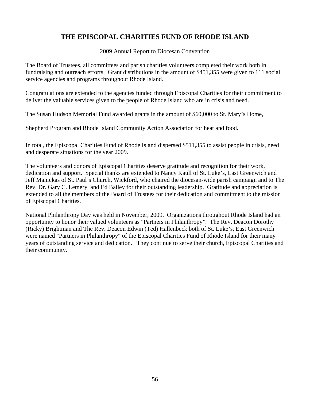# **THE EPISCOPAL CHARITIES FUND OF RHODE ISLAND**

2009 Annual Report to Diocesan Convention

The Board of Trustees, all committees and parish charities volunteers completed their work both in fundraising and outreach efforts. Grant distributions in the amount of \$451,355 were given to 111 social service agencies and programs throughout Rhode Island.

Congratulations are extended to the agencies funded through Episcopal Charities for their commitment to deliver the valuable services given to the people of Rhode Island who are in crisis and need.

The Susan Hudson Memorial Fund awarded grants in the amount of \$60,000 to St. Mary's Home,

Shepherd Program and Rhode Island Community Action Association for heat and food.

In total, the Episcopal Charities Fund of Rhode Island dispersed \$511,355 to assist people in crisis, need and desperate situations for the year 2009.

The volunteers and donors of Episcopal Charities deserve gratitude and recognition for their work, dedication and support. Special thanks are extended to Nancy Kaull of St. Luke's, East Greenwich and Jeff Manickas of St. Paul's Church, Wickford, who chaired the diocesan-wide parish campaign and to The Rev. Dr. Gary C. Lemery and Ed Bailey for their outstanding leadership. Gratitude and appreciation is extended to all the members of the Board of Trustees for their dedication and commitment to the mission of Episcopal Charities.

National Philanthropy Day was held in November, 2009. Organizations throughout Rhode Island had an opportunity to honor their valued volunteers as "Partners in Philanthropy". The Rev. Deacon Dorothy (Ricky) Brightman and The Rev. Deacon Edwin (Ted) Hallenbeck both of St. Luke's, East Greenwich were named "Partners in Philanthropy" of the Episcopal Charities Fund of Rhode Island for their many years of outstanding service and dedication. They continue to serve their church, Episcopal Charities and their community.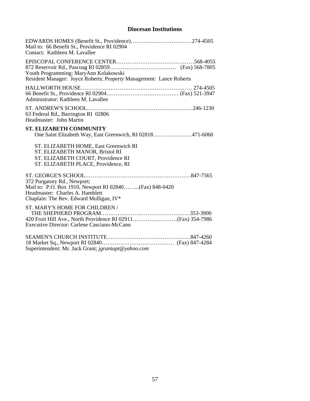# **Diocesan Institutions**

| EDWARDS HOMES (Benefit St., Providence)274-4505<br>Mail to: 66 Benefit St., Providence RI 02904<br>Contact: Kathleen M. Lavallee                                    |
|---------------------------------------------------------------------------------------------------------------------------------------------------------------------|
| Youth Programming: MaryAnn Kolakowski<br>Resident Manager: Joyce Roberts; Property Management: Lance Roberts                                                        |
| Administrator: Kathleen M. Lavallee                                                                                                                                 |
| 63 Federal Rd., Barrington RI 02806<br>Headmaster: John Martin                                                                                                      |
| <b>ST. ELIZABETH COMMUNITY</b><br>One Saint Elizabeth Way, East Greenwich, RI 02818471-6060                                                                         |
| ST. ELIZABETH HOME, East Greenwich RI<br>ST. ELIZABETH MANOR, Bristol RI<br>ST. ELIZABETH COURT, Providence RI<br>ST. ELIZABETH PLACE, Providence, RI               |
| 372 Purgatory Rd., Newport;<br>Mail to: P.O. Box 1910, Newport RI 02840(Fax) 848-0420<br>Headmaster: Charles A. Hamblett<br>Chaplain: The Rev. Edward Mulligan, IV* |
| ST. MARY'S HOME FOR CHILDREN /<br>Executive Director: Carlene Casciano-McCann                                                                                       |
|                                                                                                                                                                     |

Superintendent: Mr. Jack Grant; *jgrantupt@yahoo.com*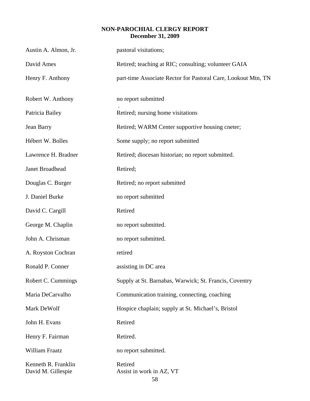## **NON-PAROCHIAL CLERGY REPORT December 31, 2009**

| Austin A. Almon, Jr.                      | pastoral visitations;                                         |
|-------------------------------------------|---------------------------------------------------------------|
| David Ames                                | Retired; teaching at RIC; consulting; volunteer GAIA          |
| Henry F. Anthony                          | part-time Associate Rector for Pastoral Care, Lookout Mtn, TN |
| Robert W. Anthony                         | no report submitted                                           |
| Patricia Bailey                           | Retired; nursing home visitations                             |
| Jean Barry                                | Retired; WARM Center supportive housing cneter;               |
| Hébert W. Bolles                          | Some supply; no report submitted                              |
| Lawrence H. Bradner                       | Retired; diocesan historian; no report submitted.             |
| Janet Broadhead                           | Retired;                                                      |
| Douglas C. Burger                         | Retired; no report submitted                                  |
| J. Daniel Burke                           | no report submitted                                           |
| David C. Cargill                          | Retired                                                       |
| George M. Chaplin                         | no report submitted.                                          |
| John A. Chrisman                          | no report submitted.                                          |
| A. Royston Cochran                        | retired                                                       |
| Ronald P. Conner                          | assisting in DC area                                          |
| Robert C. Cummings                        | Supply at St. Barnabas, Warwick; St. Francis, Coventry        |
| Maria DeCarvalho                          | Communication training, connecting, coaching                  |
| Mark DeWolf                               | Hospice chaplain; supply at St. Michael's, Bristol            |
| John H. Evans                             | Retired                                                       |
| Henry F. Fairman                          | Retired.                                                      |
| William Fraatz                            | no report submitted.                                          |
| Kenneth R. Franklin<br>David M. Gillespie | Retired<br>Assist in work in AZ, VT<br>58                     |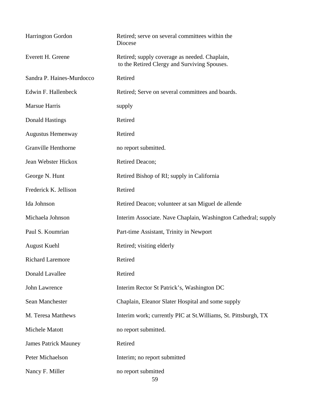| Harrington Gordon           | Retired; serve on several committees within the<br>Diocese                                    |
|-----------------------------|-----------------------------------------------------------------------------------------------|
| Everett H. Greene           | Retired; supply coverage as needed. Chaplain,<br>to the Retired Clergy and Surviving Spouses. |
| Sandra P. Haines-Murdocco   | Retired                                                                                       |
| Edwin F. Hallenbeck         | Retired; Serve on several committees and boards.                                              |
| Marsue Harris               | supply                                                                                        |
| Donald Hastings             | Retired                                                                                       |
| <b>Augustus Hemenway</b>    | Retired                                                                                       |
| <b>Granville Henthorne</b>  | no report submitted.                                                                          |
| Jean Webster Hickox         | Retired Deacon;                                                                               |
| George N. Hunt              | Retired Bishop of RI; supply in California                                                    |
| Frederick K. Jellison       | Retired                                                                                       |
| Ida Johnson                 | Retired Deacon; volunteer at san Miguel de allende                                            |
| Michaela Johnson            | Interim Associate. Nave Chaplain, Washington Cathedral; supply                                |
| Paul S. Koumrian            | Part-time Assistant, Trinity in Newport                                                       |
| <b>August Kuehl</b>         | Retired; visiting elderly                                                                     |
| <b>Richard Laremore</b>     | Retired                                                                                       |
| Donald Lavallee             | Retired                                                                                       |
| John Lawrence               | Interim Rector St Patrick's, Washington DC                                                    |
| Sean Manchester             | Chaplain, Eleanor Slater Hospital and some supply                                             |
| M. Teresa Matthews          | Interim work; currently PIC at St. Williams, St. Pittsburgh, TX                               |
| Michele Matott              | no report submitted.                                                                          |
| <b>James Patrick Mauney</b> | Retired                                                                                       |
| Peter Michaelson            | Interim; no report submitted                                                                  |
| Nancy F. Miller             | no report submitted<br>59                                                                     |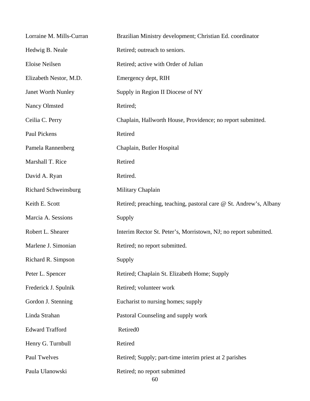| Lorraine M. Mills-Curran    | Brazilian Ministry development; Christian Ed. coordinator          |
|-----------------------------|--------------------------------------------------------------------|
| Hedwig B. Neale             | Retired; outreach to seniors.                                      |
| Eloise Neilsen              | Retired; active with Order of Julian                               |
| Elizabeth Nestor, M.D.      | Emergency dept, RIH                                                |
| Janet Worth Nunley          | Supply in Region II Diocese of NY                                  |
| <b>Nancy Olmsted</b>        | Retired;                                                           |
| Ceilia C. Perry             | Chaplain, Hallworth House, Providence; no report submitted.        |
| Paul Pickens                | Retired                                                            |
| Pamela Rannenberg           | Chaplain, Butler Hospital                                          |
| Marshall T. Rice            | Retired                                                            |
| David A. Ryan               | Retired.                                                           |
| <b>Richard Schweinsburg</b> | Military Chaplain                                                  |
| Keith E. Scott              | Retired; preaching, teaching, pastoral care @ St. Andrew's, Albany |
| Marcia A. Sessions          | Supply                                                             |
| Robert L. Shearer           | Interim Rector St. Peter's, Morristown, NJ; no report submitted.   |
| Marlene J. Simonian         | Retired; no report submitted.                                      |
| Richard R. Simpson          | Supply                                                             |
| Peter L. Spencer            | Retired; Chaplain St. Elizabeth Home; Supply                       |
| Frederick J. Spulnik        | Retired; volunteer work                                            |
| Gordon J. Stenning          | Eucharist to nursing homes; supply                                 |
| Linda Strahan               | Pastoral Counseling and supply work                                |
| <b>Edward Trafford</b>      | Retired <sub>0</sub>                                               |
| Henry G. Turnbull           | Retired                                                            |
| Paul Twelves                | Retired; Supply; part-time interim priest at 2 parishes            |
| Paula Ulanowski             | Retired; no report submitted<br>60                                 |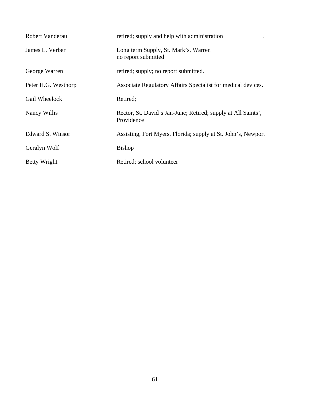| Robert Vanderau     | retired; supply and help with administration                                |
|---------------------|-----------------------------------------------------------------------------|
| James L. Verber     | Long term Supply, St. Mark's, Warren<br>no report submitted                 |
| George Warren       | retired; supply; no report submitted.                                       |
| Peter H.G. Westhorp | Associate Regulatory Affairs Specialist for medical devices.                |
| Gail Wheelock       | Retired;                                                                    |
| Nancy Willis        | Rector, St. David's Jan-June; Retired; supply at All Saints',<br>Providence |
| Edward S. Winsor    | Assisting, Fort Myers, Florida; supply at St. John's, Newport               |
| Geralyn Wolf        | <b>Bishop</b>                                                               |
| <b>Betty Wright</b> | Retired; school volunteer                                                   |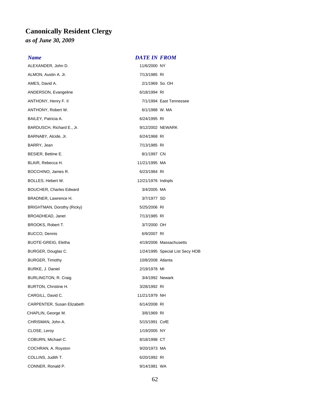# **Canonically Resident Clergy**

*as of June 30, 2009*

#### *Name DATE IN FROM*

ALEXANDER, John D. 11/6/2000 NY ALMON, Austin A. Jr. 2008) 2014 12:30 12:30 13:40 14:40 14:40 14:40 14:40 14:40 14:40 14:40 14:40 14:40 14:40 AMES, David A. 2/1/1969 So. OH ANDERSON, Evangeline 6/18/1994 RI ANTHONY, Henry F. II 7/1/1994 East Tennessee ANTHONY, Robert W. 6/1/1988 W. MA BAILEY, Patricia A. 6/24/1995 RI BARDUSCH, Richard E., Jr. (2002) NEWARK BARNABY, Alcide, Jr. 6/24/1968 RI BARRY, Jean 7/13/1985 RI BESIER, Bettine E. 6/1/1997 CN BLAIR, Rebecca H. 11/21/1995 MA BOCCHINO, James R. 6/23/1984 RI BOLLES, Hebert W. 12/21/1976 Indnpls BOUCHER, Charles Edward 3/4/2005 MA BRADNER, Lawrence H. 3/7/1977 SD BRIGHTMAN, Dorothy (Ricky) 6/25/2006 RI BROADHEAD, Janet 7/13/1985 RI BROOKS, Robert T. 3/7/2000 OH BUCCO, Dennis 6/9/2007 RI BUOTE-GREIG, Eletha 4/19/2006 Massachusetts BURGER, Douglas C. **1/24/1995** Special List Secy HOB BURGER, Timothy and the control of the 10/8/2008 Atlanta BURKE, J. Daniel 2/19/1978 MI BURLINGTON, R. Craig 3/4/1992 Newark BURTON, Christine H. 3/28/1992 RI CARGILL, David C. 11/21/1979 NH CARPENTER, Susan Elizabeth 6/14/2008 RI CHAPLIN, George M. 3/8/1969 RI CHRISMAN, John A. 5/15/1991 CofE CLOSE, Leroy 1/19/2005 NY COBURN, Michael C. 68/18/1998 CT COCHRAN, A. Royston 9/20/1973 MA COLLINS, Judith T. 6/20/1992 RI CONNER, Ronald P. 68 and 1992 12:00 12:00 12:00 12:00 12:00 12:00 12:00 12:00 12:00 12:00 12:00 12:00 12:00 12:00 12:00 12:00 12:00 12:00 12:00 12:00 12:00 12:00 12:00 12:00 12:00 12:00 12:00 12:00 12:00 12:00 12:00 12:00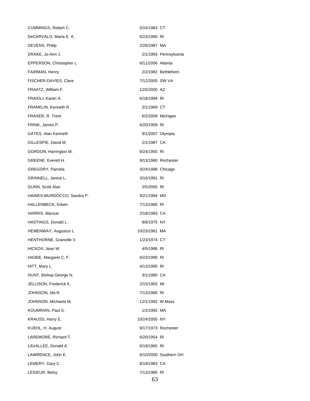CUMMINGS, Robert C. 6716/1983 CT DeCARVALO, Maria E. A. 6/23/1990 RI DEVENS, Philip 2/26/1987 MA DRAKE, Jo-Ann J. 2/1/1993 Pennsylvania EPPERSON, Christopher L<br>
6/11/2006 Atlanta FAIRMAN, Henry 2/2/1982 Bethlehem FISCHER-DAVIES, Clare 7/12/2005 SW VA FRAATZ, William F. 12/5/2000 AZ FRAIOLI, Karen A. 6/18/1994 RI FRANKLIN, Kenneth R. 2/1/1969 CT FRASER, R. Trent 6/2/2009 Michigan FRINK, James P. 6/20/1959 RI GATES, Alan Kenneth 9/1/2007 Olympia GILLESPIE, David M. 2/1/1987 CA GORDON, Harrington M. 6/24/1955 RI GREENE, Everett H. 9/13/1960 Rochester GREGORY, Pamela 3/24/1998 Chicago GRINNELL, Janice L. 3/16/1991 RI GUNN, Scott Alan 2/5/2005 RI HAINES-MURDOCCO, Sandra P. 9/21/1994 MD HALLENBECK, Edwin 7/13/1985 RI HARRIS, Marsue 2/18/1983 CA HASTINGS, Donald L. 3/8/1975 NY HEMENWAY, Augustus L. 10/23/1961 MA HENTHORNE, Granville V. 1/23/1974 CT HICKOX, Jean W. 4/5/1986 RI HIGBIE, Margaret C. F. 6/23/1990 RI HITT, Mary L. 2006 2012 2022 2023 2024 2024 2030 204/13/1995 RI HUNT, Bishop George N. 3/1/1980 CA JELLISON, Frederick K. 2/15/1955 MI JOHNSON, Ida R. 2001 - 2002 - 2012 12:30 13/1985 RI JOHNSON, Michaela M. 12/1/1992 W.Mass KOUMRIAN, Paul S. 1/2/1992 MA KRAUSS, Harry E, 10/24/2005 NY KUEHL, H. August **6. March 2018** 17/1973 Rochester LAREMORE, Richard T. 6/20/1954 RI LAVALLEE, Donald A. 6/19/1965 RI LAWRENCE, John E. 2000 Southern OH LEMERY, Gary C. 68/19/1983 CA LESIEUR, Betsy 7/13/1985 RI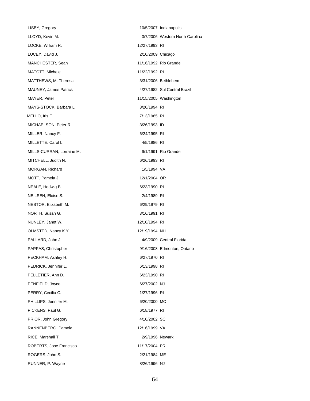LISBY, Gregory 2007 10/5/2007 Indianapolis LLOYD, Kevin M. 3/7/2006 Western North Carolina LOCKE, William R. 12/27/1993 RI LUCEY, David J. 2/10/2009 Chicago MANCHESTER, Sean 11/16/1992 Rio Grande MATOTT, Michele 11/22/1992 RI MATTHEWS, M. Theresa 3/31/2006 Bethlehem MAUNEY, James Patrick 4/27/1982 Sul Central Brazil MAYER, Peter **11/15/2005** Washington MAYS-STOCK, Barbara L. 3/20/1994 RI MELLO, Iris E. 2002. 2003. 2004. 2012. 2013/1985 RI MICHAELSON, Peter R. 3/26/1993 ID MILLER, Nancy F. 6/24/1995 RI MILLETTE, Carol L. **Allen Carol Lewis Contract Carol** 4/5/1986 RI MILLS-CURRAN, Lorraine M. 68 and 1992 11/1991 Rio Grande MITCHELL, Judith N. 6/26/1993 RI MORGAN, Richard 1/5/1994 VA MOTT, Pamela J. 12/1/2004 OR NEALE, Hedwig B. (a) and the control of the 6/23/1990 RI NEILSEN, Eloise S. 2/4/1989 RI NESTOR, Elizabeth M. 6/29/1979 RI NORTH, Susan G. 3/16/1991 RI NUNLEY, Janet W. 12/10/1994 RI OLMSTED, Nancy K.Y. 12/19/1994 NH PALLARD, John J. 4/9/2009 Central Florida PAPPAS, Christopher **9/16/2008** Edmonton, Ontario PECKHAM, Ashley H. 6/27/1970 RI PEDRICK, Jennifer L. 6/13/1998 RI PELLETIER, Ann D. 6/23/1990 RI PENFIELD, Joyce 6/27/2002 NJ PERRY, Cecilia C. 1/27/1996 RI PHILLIPS, Jennifer M. 6/20/2000 MO PICKENS, Paul G. 6/18/1977 RI PRIOR, John Gregory **ACCOLLECT 12000** 4/10/2002 SC RANNENBERG, Pamela L. 12/16/1999 VA RICE, Marshall T. **2/9/1996** Newark ROBERTS, Jose Francisco 11/17/2004 PR ROGERS, John S. 2/21/1984 ME RUNNER, P. Wayne 8/26/1996 NJ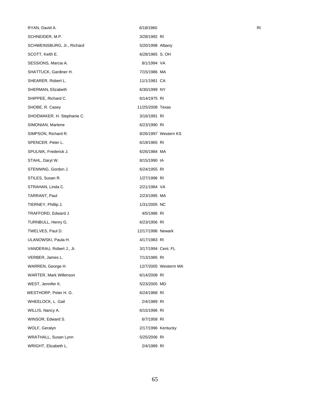| RYAN, David A.             | 6/18/1960          |                      | R <sub>l</sub> |
|----------------------------|--------------------|----------------------|----------------|
| SCHNEIDER, M.P.            | 3/28/1992 RI       |                      |                |
| SCHWEINSBURG, Jr., Richard | 5/20/1998 Albany   |                      |                |
| SCOTT, Keith E.            | 6/28/1965 S. OH    |                      |                |
| SESSIONS, Marcia A.        | 8/1/1994 VA        |                      |                |
| SHATTUCK, Gardiner H.      | 7/15/1986 MA       |                      |                |
| SHEARER, Robert L.         | 11/1/1981 CA       |                      |                |
| SHERMAN, Elizabeth         | 6/30/1999 NY       |                      |                |
| SHIPPEE, Richard C.        | 6/14/1975 RI       |                      |                |
| SHOBE, R. Casey            | 11/25/2008 Texas   |                      |                |
| SHOEMAKER, H. Stephanie C. | 3/16/1991 RI       |                      |                |
| SIMONIAN, Marlene          | 6/23/1990 RI       |                      |                |
| SIMPSON, Richard R.        |                    | 8/26/1997 Western KS |                |
| SPENCER, Peter L.          | 6/19/1965 RI       |                      |                |
| SPULNIK, Frederick J.      | 6/26/1984 MA       |                      |                |
| STAHL, Daryl W.            | 8/15/1990 IA       |                      |                |
| STENNING, Gordon J.        | 6/24/1955 RI       |                      |                |
| STILES, Susan R.           | 1/27/1996 RI       |                      |                |
| STRAHAN, Linda C.          | 2/21/1984 VA       |                      |                |
| TARRANT, Paul              | 2/23/1995 MA       |                      |                |
| TIERNEY, Phillip J.        | 1/31/2005 NC       |                      |                |
| TRAFFORD, Edward J.        | 4/5/1986 RI        |                      |                |
| TURNBULL, Henry G.         | 6/23/1956 RI       |                      |                |
| TWELVES, Paul D.           | 12/17/1996 Newark  |                      |                |
| ULANOWSKI, Paula H.        | 4/17/1983 RI       |                      |                |
| VANDERAU, Robert J., Jr.   | 3/17/1994 Cent. FL |                      |                |
| VERBER, James L.           | 7/13/1985 RI       |                      |                |
| WARREN, George H           |                    | 12/7/2005 Westerm MA |                |
| WARTER, Mark Wilkinson     | 6/14/2008 RI       |                      |                |
| WEST, Jennifer K.          | 5/23/2005 MD       |                      |                |
| WESTHORP, Peter H. G.      | 6/24/1968 RI       |                      |                |
| WHEELOCK, L. Gail          | 2/4/1989 RI        |                      |                |
| WILLIS, Nancy A.           | 6/15/1996 RI       |                      |                |
| WINSOR, Edward S.          | 6/7/1958 RI        |                      |                |
| WOLF, Geralyn              | 2/17/1996 Kentucky |                      |                |
| WRATHALL, Susan Lynn       | 5/25/2006 RI       |                      |                |
| WRIGHT, Elizabeth L.       | 2/4/1989 RI        |                      |                |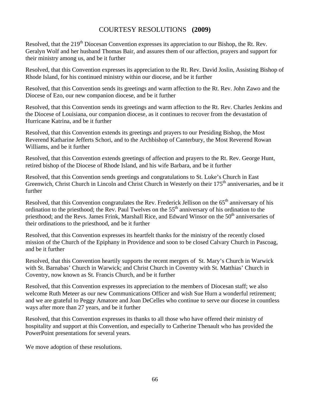# COURTESY RESOLUTIONS **(2009)**

Resolved, that the 219<sup>th</sup> Diocesan Convention expresses its appreciation to our Bishop, the Rt. Rev. Geralyn Wolf and her husband Thomas Bair, and assures them of our affection, prayers and support for their ministry among us, and be it further

Resolved, that this Convention expresses its appreciation to the Rt. Rev. David Joslin, Assisting Bishop of Rhode Island, for his continued ministry within our diocese, and be it further

Resolved, that this Convention sends its greetings and warm affection to the Rt. Rev. John Zawo and the Diocese of Ezo, our new companion diocese, and be it further

Resolved, that this Convention sends its greetings and warm affection to the Rt. Rev. Charles Jenkins and the Diocese of Louisiana, our companion diocese, as it continues to recover from the devastation of Hurricane Katrina, and be it further

Resolved, that this Convention extends its greetings and prayers to our Presiding Bishop, the Most Reverend Katharine Jefferts Schori, and to the Archbishop of Canterbury, the Most Reverend Rowan Williams, and be it further

Resolved, that this Convention extends greetings of affection and prayers to the Rt. Rev. George Hunt, retired bishop of the Diocese of Rhode Island, and his wife Barbara, and be it further

Resolved, that this Convention sends greetings and congratulations to St. Luke's Church in East Greenwich, Christ Church in Lincoln and Christ Church in Westerly on their 175<sup>th</sup> anniversaries, and be it further

Resolved, that this Convention congratulates the Rev. Frederick Jellison on the 65<sup>th</sup> anniversary of his ordination to the priesthood; the Rev. Paul Twelves on the  $55<sup>th</sup>$  anniversary of his ordination to the priesthood; and the Revs. James Frink, Marshall Rice, and Edward Winsor on the 50<sup>th</sup> anniversaries of their ordinations to the priesthood, and be it further

Resolved, that this Convention expresses its heartfelt thanks for the ministry of the recently closed mission of the Church of the Epiphany in Providence and soon to be closed Calvary Church in Pascoag, and be it further

Resolved, that this Convention heartily supports the recent mergers of St. Mary's Church in Warwick with St. Barnabas' Church in Warwick; and Christ Church in Coventry with St. Matthias' Church in Coventry, now known as St. Francis Church, and be it further

Resolved, that this Convention expresses its appreciation to the members of Diocesan staff; we also welcome Ruth Meteer as our new Communications Officer and wish Sue Hurn a wonderful retirement; and we are grateful to Peggy Amatore and Joan DeCelles who continue to serve our diocese in countless ways after more than 27 years, and be it further

Resolved, that this Convention expresses its thanks to all those who have offered their ministry of hospitality and support at this Convention, and especially to Catherine Thenault who has provided the PowerPoint presentations for several years.

We move adoption of these resolutions.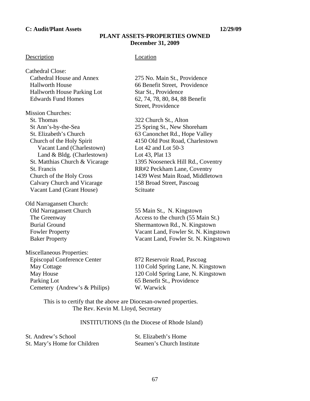#### **C: Audit/Plant Assets 12/29/09**

#### **PLANT ASSETS-PROPERTIES OWNED December 31, 2009**

#### Description **Location**

Cathedral Close: Cathedral House and Annex 275 No. Main St., Providence Hallworth House Parking Lot Star St., Providence Edwards Fund Homes 62, 74, 78, 80, 84, 88 Benefit

Mission Churches: St. Thomas 322 Church St., Alton St Ann's-by-the-Sea 25 Spring St., New Shoreham Vacant Land (Charlestown) Lot 42 and Lot 50-3 Land & Bldg. (Charlestown) Lot 43, Plat 13 Calvary Church and Vicarage 158 Broad Street, Pascoag Vacant Land (Grant House) Scituate

Old Narragansett Church:

Miscellaneous Properties: Episcopal Conference Center 872 Reservoir Road, Pascoag Parking Lot 65 Benefit St., Providence Cemetery (Andrew's & Philips) W. Warwick

 Hallworth House 66 Benefit Street, Providence Street, Providence

 St. Elizabeth's Church 63 Canonchet Rd., Hope Valley Church of the Holy Spirit 4150 Old Post Road, Charlestown St. Matthias Church & Vicarage 1395 Nooseneck Hill Rd., Coventry St. Francis RR#2 Peckham Lane, Coventry Church of the Holy Cross 1439 West Main Road, Middletown

 Old Narragansett Church 55 Main St., N. Kingstown The Greenway Access to the church (55 Main St.) Burial Ground Shermantown Rd., N. Kingstown Fowler Property Vacant Land, Fowler St. N. Kingstown Baker Property Vacant Land, Fowler St. N. Kingstown

 May Cottage 110 Cold Spring Lane, N. Kingstown May House 120 Cold Spring Lane, N. Kingstown

 This is to certify that the above are Diocesan-owned properties. The Rev. Kevin M. Lloyd, Secretary

#### INSTITUTIONS (In the Diocese of Rhode Island)

| St. Andrew's School          | St. Elizabeth's Home      |
|------------------------------|---------------------------|
| St. Mary's Home for Children | Seamen's Church Institute |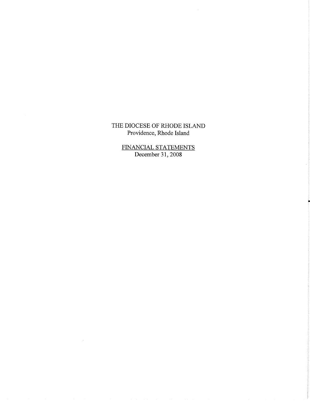# THE DIOCESE OF RHODE ISLAND Providence, Rhode Island

FINANCIAL STATEMENTS<br>December 31, 2008

 $\hat{p}$  and  $\hat{p}$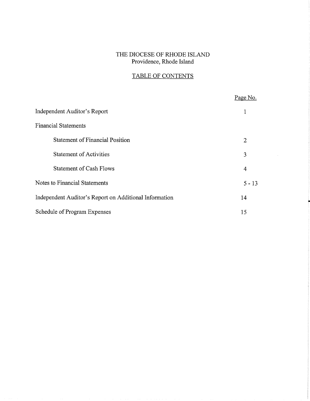# THE DIOCESE OF RHODE ISLAND Providence, Rhode Island

# TABLE OF CONTENTS

|                                                        | Page No. |
|--------------------------------------------------------|----------|
| Independent Auditor's Report                           |          |
| <b>Financial Statements</b>                            |          |
| <b>Statement of Financial Position</b>                 | 2        |
| <b>Statement of Activities</b>                         | 3        |
| <b>Statement of Cash Flows</b>                         | 4        |
| Notes to Financial Statements                          | $5 - 13$ |
| Independent Auditor's Report on Additional Information | 14       |
| Schedule of Program Expenses                           | 15       |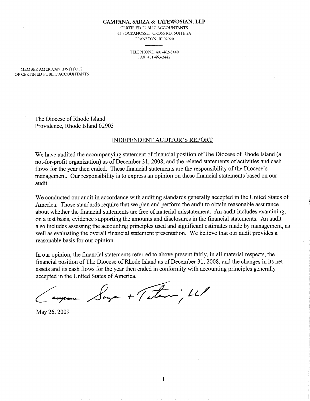#### CAMPANA, SARZA & TATEWOSIAN, LLP

CERTIFIED PUBLIC ACCOUNTANTS 63 SOCKANOSSET CROSS RD. SUITE 2A CRANSTON, RI 02920

> TELEPHONE: 401-463-3440 FAX: 401-463-3442

MEMBER AMERICAN INSTITUTE OF CERTIFIED PUBLIC ACCOUNTANTS

> The Diocese of Rhode Island Providence, Rhode Island 02903

#### **INDEPENDENT AUDITOR'S REPORT**

We have audited the accompanying statement of financial position of The Diocese of Rhode Island (a not-for-profit organization) as of December 31, 2008, and the related statements of activities and cash flows for the year then ended. These financial statements are the responsibility of the Diocese's management. Our responsibility is to express an opinion on these financial statements based on our audit.

We conducted our audit in accordance with auditing standards generally accepted in the United States of America. Those standards require that we plan and perform the audit to obtain reasonable assurance about whether the financial statements are free of material misstatement. An audit includes examining, on a test basis, evidence supporting the amounts and disclosures in the financial statements. An audit also includes assessing the accounting principles used and significant estimates made by management, as well as evaluating the overall financial statement presentation. We believe that our audit provides a reasonable basis for our opinion.

In our opinion, the financial statements referred to above present fairly, in all material respects, the financial position of The Diocese of Rhode Island as of December 31, 2008, and the changes in its net assets and its cash flows for the year then ended in conformity with accounting principles generally accepted in the United States of America.

Saya + Tatani, LL

May 26, 2009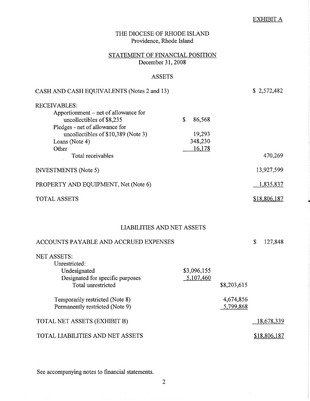## **EXHIBIT A**

| THE DIOCESE OF RHODE ISLAND<br>Providence, Rhode Island                                                       |                          |                        |                   |
|---------------------------------------------------------------------------------------------------------------|--------------------------|------------------------|-------------------|
| STATEMENT OF FINANCIAL POSITION<br>December 31, 2008                                                          |                          |                        |                   |
| <b>ASSETS</b>                                                                                                 |                          |                        |                   |
| CASH AND CASH EQUIVALENTS (Notes 2 and 13)                                                                    |                          |                        | \$2,572,482       |
| <b>RECEIVABLES:</b>                                                                                           |                          |                        |                   |
| Apportionment – net of allowance for<br>uncollectibles of \$8,235                                             | \$<br>86,568             |                        |                   |
| Pledges - net of allowance for<br>uncollectibles of \$10,389 (Note 3)<br>Loans (Note 4)                       | 19,293<br>348,230        |                        |                   |
| Other<br>Total receivables                                                                                    | 16,178                   |                        | 470,269           |
| <b>INVESTMENTS</b> (Note 5)                                                                                   |                          |                        | 13,927,599        |
| PROPERTY AND EQUIPMENT, Net (Note 6)                                                                          |                          |                        | 1,835,837         |
| <b>TOTAL ASSETS</b>                                                                                           |                          |                        | \$18,806,187      |
| <b>LIABILITIES AND NET ASSETS</b>                                                                             |                          |                        |                   |
| ACCOUNTS PAYABLE AND ACCRUED EXPENSES                                                                         |                          |                        | \$<br>127,848     |
| <b>NET ASSETS:</b><br>Unrestricted:<br>Undesignated<br>Designated for specific purposes<br>Total unrestricted | \$3,096,155<br>5,107,460 | \$8,203,615            |                   |
| Temporarily restricted (Note 8)<br>Permanently restricted (Note 9)                                            |                          | 4,674,856<br>5,799,868 |                   |
| TOTAL NET ASSETS (EXHIBIT B)                                                                                  |                          |                        | <u>18,678,339</u> |
| TOTAL LIABILITIES AND NET ASSETS                                                                              |                          |                        | \$18,806,187      |

See accompanying notes to financial statements.

 $\overline{2}$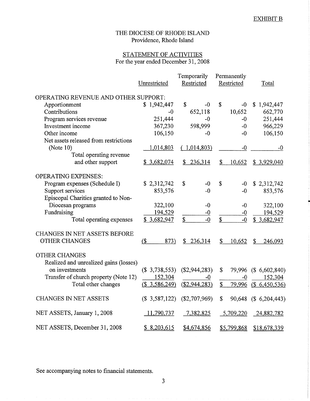## THE DIOCESE OF RHODE ISLAND Providence, Rhode Island

## STATEMENT OF ACTIVITIES For the year ended December 31, 2008

|                                        | Unrestricted  | Temporarily<br>Restricted | Permanently<br>Restricted | Total                   |
|----------------------------------------|---------------|---------------------------|---------------------------|-------------------------|
| OPERATING REVENUE AND OTHER SUPPORT:   |               |                           |                           |                         |
| Apportionment                          | \$1,942,447   | \$<br>-0                  | \$<br>$-0$                | \$1,942,447             |
| Contributions                          | -0            | 652,118                   | 10,652                    | 662,770                 |
| Program services revenue               | 251,444       | -0                        | $-0$                      | 251,444                 |
| Investment income                      | 367,230       | 598,999                   | $-0$                      | 966,229                 |
| Other income                           | 106,150       | $-0$                      | $-0$                      | 106,150                 |
| Net assets released from restrictions  |               |                           |                           |                         |
| (Note $10$ )                           | 1,014,803     | (1,014,803)               | $-0$                      | $-0$                    |
| Total operating revenue                |               |                           |                           |                         |
| and other support                      | \$3,682,074   | 236,314<br>S.             | \$<br>10,652              | \$3,929,040             |
| <b>OPERATING EXPENSES:</b>             |               |                           |                           |                         |
| Program expenses (Schedule I)          | \$2,312,742   | \$<br>$-0$                | \$<br>$-0$                | \$2,312,742             |
| Support services                       | 853,576       | $-0$                      | $-0$                      | 853,576                 |
| Episcopal Charities granted to Non-    |               |                           |                           |                         |
| Diocesan programs                      | 322,100       | $-0$                      | $-0$                      | 322,100                 |
| Fundraising                            | 194,529       | $-0$                      | $-0$                      | 194,529                 |
| Total operating expenses               | \$3,682,947   | \$<br>$-0$                | \$<br>$-0$                | \$3,682,947             |
| <b>CHANGES IN NET ASSETS BEFORE</b>    |               |                           |                           |                         |
| <b>OTHER CHANGES</b>                   | (<br>873)     | \$236,314                 | \$<br>10,652              | $\mathbb{S}$<br>246,093 |
| <b>OTHER CHANGES</b>                   |               |                           |                           |                         |
| Realized and unrealized gains (losses) |               |                           |                           |                         |
| on investments                         | (\$3,738,553) | (\$2,944,283)             | \$                        | 79,996 (\$ 6,602,840)   |
| Transfer of church property (Note 12)  | 152,304       | $-0$                      | $-0$                      | 152,304                 |
| Total other changes                    | (\$3,586,249) | $(\$2,944,283)$           | \$<br>79,996              | (\$6,450,536)           |
| <b>CHANGES IN NET ASSETS</b>           | (\$3,587,122) | $(\$2,707,969)$           | \$                        | 90,648 (\$ 6,204,443)   |
| NET ASSETS, January 1, 2008            | 11,790,737    | 7,382,825                 | 5,709,220                 | 24,882,782              |
| NET ASSETS, December 31, 2008          | \$8,203,615   | \$4,674,856               | \$5,799,868               | \$18,678,339            |

See accompanying notes to financial statements.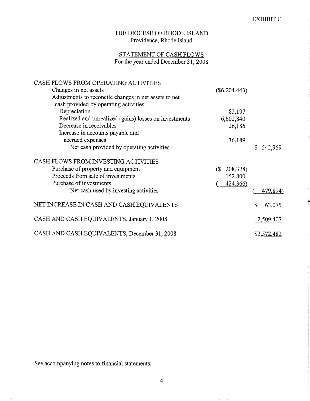# STATEMENT OF CASH FLOWS For the year ended December 31, 2008

| CASH FLOWS FROM OPERATING ACTIVITIES                  |                                        |               |
|-------------------------------------------------------|----------------------------------------|---------------|
| Changes in net assets                                 | $(\$6,204,443)$                        |               |
| Adjustments to reconcile changes in net assets to net |                                        |               |
| cash provided by operating activities:                |                                        |               |
| Depreciation                                          | 82,197                                 |               |
| Realized and unrealized (gains) losses on investments | 6,602,840                              |               |
| Decrease in receivables                               | 26,186                                 |               |
| Increase in accounts payable and                      |                                        |               |
| accrued expenses                                      | 36,189                                 |               |
| Net cash provided by operating activities             |                                        | \$<br>542,969 |
| CASH FLOWS FROM INVESTING ACTIVITIES                  |                                        |               |
| Purchase of property and equipment                    | 208,328)<br>$\left( \mathbb{S}\right)$ |               |
| Proceeds from sale of investments                     | 152,800                                |               |
| Purchase of investments                               | 424,366)                               |               |
| Net cash used by investing activities                 |                                        | 479,894)      |
| NET INCREASE IN CASH AND CASH EQUIVALENTS             |                                        | \$<br>63,075  |
| CASH AND CASH EQUIVALENTS, January 1, 2008            |                                        | 2,509,407     |
| CASH AND CASH EQUIVALENTS, December 31, 2008          |                                        | \$2,572,482   |

See accompanying notes to financial statements.

 $\bar{a}$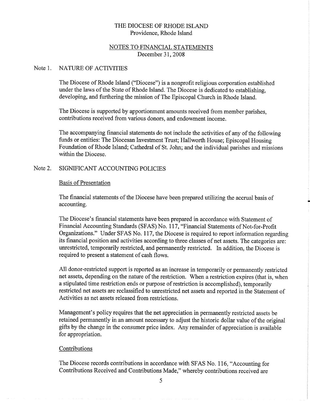# NOTES TO FINANCIAL STATEMENTS December 31, 2008

#### Note 1. **NATURE OF ACTIVITIES**

The Diocese of Rhode Island ("Diocese") is a nonprofit religious corporation established under the laws of the State of Rhode Island. The Diocese is dedicated to establishing. developing, and furthering the mission of The Episcopal Church in Rhode Island.

The Diocese is supported by apportionment amounts received from member parishes, contributions received from various donors, and endowment income.

The accompanying financial statements do not include the activities of any of the following funds or entities: The Diocesan Investment Trust; Hallworth House; Episcopal Housing Foundation of Rhode Island; Cathedral of St. John; and the individual parishes and missions within the Diocese.

### SIGNIFICANT ACCOUNTING POLICIES Note 2.

# **Basis of Presentation**

The financial statements of the Diocese have been prepared utilizing the accrual basis of accounting.

The Diocese's financial statements have been prepared in accordance with Statement of Financial Accounting Standards (SFAS) No. 117, "Financial Statements of Not-for-Profit Organizations." Under SFAS No. 117, the Diocese is required to report information regarding its financial position and activities according to three classes of net assets. The categories are: unrestricted, temporarily restricted, and permanently restricted. In addition, the Diocese is required to present a statement of cash flows.

All donor-restricted support is reported as an increase in temporarily or permanently restricted net assets, depending on the nature of the restriction. When a restriction expires (that is, when a stipulated time restriction ends or purpose of restriction is accomplished), temporarily restricted net assets are reclassified to unrestricted net assets and reported in the Statement of Activities as net assets released from restrictions.

Management's policy requires that the net appreciation in permanently restricted assets be retained permanently in an amount necessary to adjust the historic dollar value of the original gifts by the change in the consumer price index. Any remainder of appreciation is available for appropriation.

# Contributions

The Diocese records contributions in accordance with SFAS No. 116, "Accounting for Contributions Received and Contributions Made," whereby contributions received are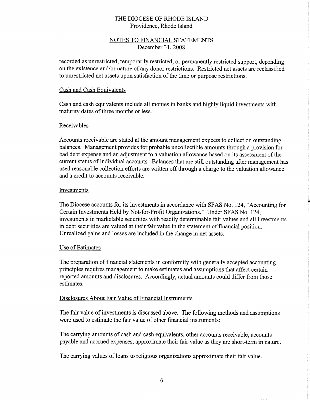# NOTES TO FINANCIAL STATEMENTS December 31, 2008

recorded as unrestricted, temporarily restricted, or permanently restricted support, depending on the existence and/or nature of any donor restrictions. Restricted net assets are reclassified to unrestricted net assets upon satisfaction of the time or purpose restrictions.

# Cash and Cash Equivalents

Cash and cash equivalents include all monies in banks and highly liquid investments with maturity dates of three months or less.

# Receivables

Accounts receivable are stated at the amount management expects to collect on outstanding balances. Management provides for probable uncollectible amounts through a provision for bad debt expense and an adjustment to a valuation allowance based on its assessment of the current status of individual accounts. Balances that are still outstanding after management has used reasonable collection efforts are written off through a charge to the valuation allowance and a credit to accounts receivable.

# Investments

The Diocese accounts for its investments in accordance with SFAS No. 124, "Accounting for Certain Investments Held by Not-for-Profit Organizations." Under SFAS No. 124, investments in marketable securities with readily determinable fair values and all investments in debt securities are valued at their fair value in the statement of financial position. Unrealized gains and losses are included in the change in net assets.

## Use of Estimates

The preparation of financial statements in conformity with generally accepted accounting principles requires management to make estimates and assumptions that affect certain reported amounts and disclosures. Accordingly, actual amounts could differ from those estimates.

# Disclosures About Fair Value of Financial Instruments

The fair value of investments is discussed above. The following methods and assumptions were used to estimate the fair value of other financial instruments:

The carrying amounts of cash and cash equivalents, other accounts receivable, accounts payable and accrued expenses, approximate their fair value as they are short-term in nature.

The carrying values of loans to religious organizations approximate their fair value.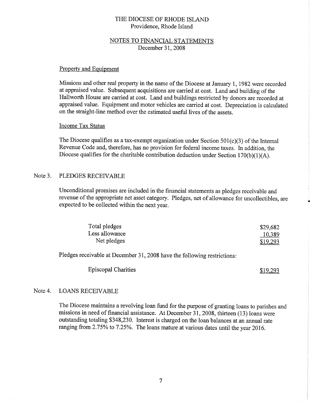# **NOTES TO FINANCIAL STATEMENTS** December 31, 2008

## Property and Equipment

Missions and other real property in the name of the Diocese at January 1, 1982 were recorded at appraised value. Subsequent acquisitions are carried at cost. Land and building of the Hallworth House are carried at cost. Land and buildings restricted by donors are recorded at appraised value. Equipment and motor vehicles are carried at cost. Depreciation is calculated on the straight-line method over the estimated useful lives of the assets.

# **Income Tax Status**

The Diocese qualifies as a tax-exempt organization under Section  $501(c)(3)$  of the Internal Revenue Code and, therefore, has no provision for federal income taxes. In addition, the Diocese qualifies for the charitable contribution deduction under Section  $170(b)(1)(A)$ .

### Note 3. PLEDGES RECEIVABLE

Unconditional promises are included in the financial statements as pledges receivable and revenue of the appropriate net asset category. Pledges, net of allowance for uncollectibles, are expected to be collected within the next year.

| Total pledges  | \$29,682 |
|----------------|----------|
| Less allowance | 10,389   |
| Net pledges    | \$19,293 |

Pledges receivable at December 31, 2008 have the following restrictions:

**Episcopal Charities** 

\$19,293

### Note 4. **LOANS RECEIVABLE**

The Diocese maintains a revolving loan fund for the purpose of granting loans to parishes and missions in need of financial assistance. At December 31, 2008, thirteen (13) loans were outstanding totaling \$348,230. Interest is charged on the loan balances at an annual rate ranging from 2.75% to 7.25%. The loans mature at various dates until the year 2016.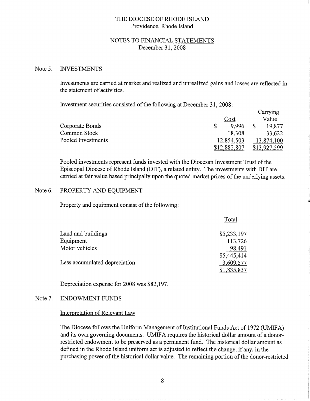## NOTES TO FINANCIAL STATEMENTS December 31, 2008

#### Note 5. **INVESTMENTS**

Investments are carried at market and realized and unrealized gains and losses are reflected in the statement of activities.

Investment securities consisted of the following at December 31, 2008:

|                    |              | Carrying     |
|--------------------|--------------|--------------|
|                    | Cost         | Value        |
| Corporate Bonds    | 9.996        | 19,877       |
| Common Stock       | 18,308       | 33,622       |
| Pooled Investments | 12,854,503   | 13,874,100   |
|                    | \$12,882,807 | \$13,927,599 |

Pooled investments represent funds invested with the Diocesan Investment Trust of the Episcopal Diocese of Rhode Island (DIT), a related entity. The investments with DIT are carried at fair value based principally upon the quoted market prices of the underlying assets.

#### Note 6. PROPERTY AND EQUIPMENT

Property and equipment consist of the following:

|                               | Total       |
|-------------------------------|-------------|
| Land and buildings            | \$5,233,197 |
| Equipment                     | 113,726     |
| Motor vehicles                | 98,491      |
|                               | \$5,445,414 |
| Less accumulated depreciation | 3,609,577   |
|                               | \$1,835,837 |

Depreciation expense for 2008 was \$82,197.

### Note 7. **ENDOWMENT FUNDS**

### Interpretation of Relevant Law

The Diocese follows the Uniform Management of Institutional Funds Act of 1972 (UMIFA) and its own governing documents. UMIFA requires the historical dollar amount of a donorrestricted endowment to be preserved as a permanent fund. The historical dollar amount as defined in the Rhode Island uniform act is adjusted to reflect the change, if any, in the purchasing power of the historical dollar value. The remaining portion of the donor-restricted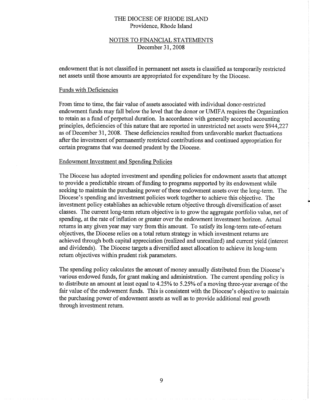# NOTES TO FINANCIAL STATEMENTS December 31, 2008

endowment that is not classified in permanent net assets is classified as temporarily restricted net assets until those amounts are appropriated for expenditure by the Diocese.

## **Funds with Deficiencies**

From time to time, the fair value of assets associated with individual donor-restricted endowment funds may fall below the level that the donor or UMIFA requires the Organization to retain as a fund of perpetual duration. In accordance with generally accepted accounting principles, deficiencies of this nature that are reported in unrestricted net assets were \$944,227 as of December 31, 2008. These deficiencies resulted from unfavorable market fluctuations after the investment of permanently restricted contributions and continued appropriation for certain programs that was deemed prudent by the Diocese.

### **Endowment Investment and Spending Policies**

The Diocese has adopted investment and spending policies for endowment assets that attempt to provide a predictable stream of funding to programs supported by its endowment while seeking to maintain the purchasing power of these endowment assets over the long-term. The Diocese's spending and investment policies work together to achieve this objective. The investment policy establishes an achievable return objective through diversification of asset classes. The current long-term return objective is to grow the aggregate portfolio value, net of spending, at the rate of inflation or greater over the endowment investment horizon. Actual returns in any given year may vary from this amount. To satisfy its long-term rate-of-return objectives, the Diocese relies on a total return strategy in which investment returns are achieved through both capital appreciation (realized and unrealized) and current yield (interest and dividends). The Diocese targets a diversified asset allocation to achieve its long-term return objectives within prudent risk parameters.

The spending policy calculates the amount of money annually distributed from the Diocese's various endowed funds, for grant making and administration. The current spending policy is to distribute an amount at least equal to 4.25% to 5.25% of a moving three-year average of the fair value of the endowment funds. This is consistent with the Diocese's objective to maintain the purchasing power of endowment assets as well as to provide additional real growth through investment return.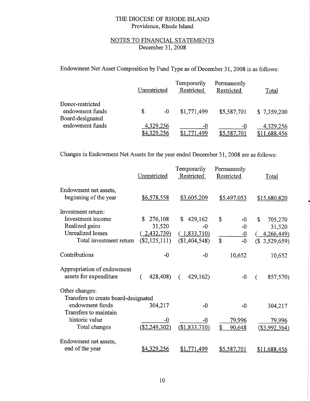# NOTES TO FINANCIAL STATEMENTS December 31, 2008

Endowment Net Asset Composition by Fund Type as of December 31, 2008 is as follows:

|                                                         | Unrestricted |                          | Temporarily<br>Restricted | Permanently<br>Restricted | Total                     |
|---------------------------------------------------------|--------------|--------------------------|---------------------------|---------------------------|---------------------------|
| Donor-restricted<br>endowment funds<br>Board-designated |              | -0                       | \$1,771,499               | \$5,587,701               | \$7,359,200               |
| endowment funds                                         |              | 4,329,256<br>\$4,329,256 | $-0$<br>71,499            | -0<br>\$5,587,701         | 4,329,256<br>\$11,688,456 |

Changes in Endowment Net Assets for the year ended December 31, 2008 are as follows:

|                                      | Unrestricted       | Temporarily<br>Restricted | Permanently<br>Restricted | Total                                    |
|--------------------------------------|--------------------|---------------------------|---------------------------|------------------------------------------|
| Endowment net assets,                |                    |                           |                           |                                          |
| beginning of the year                | \$6,578,558        | \$3,605,209               | \$5,497,053               | \$15,680,820                             |
| Investment return:                   |                    |                           |                           |                                          |
| Investment income                    | \$<br>276,108      | 429,162<br>\$             | \$<br>$-0$                | \$<br>705,270                            |
| Realized gains                       | 31,520             | -0                        | $-0$                      | 31,520                                   |
| <b>Unrealized losses</b>             | 2,432,739          | (1,833,710)               | $-0$                      | 4,266,449)                               |
| Total investment return              | $(\$2,125,111)$    | (\$1,404,548)             | \$<br>$-0$                | $\left( \mathbb{S}\right)$<br>3,529,659) |
| Contributions                        | $-0$               | $-0$                      | 10,652                    | 10,652                                   |
| Appropriation of endowment           |                    |                           |                           |                                          |
| assets for expenditure               | 428,408)<br>€      | 429,162)<br>€             | $-0$                      | 857,570)                                 |
| Other changes:                       |                    |                           |                           |                                          |
| Transfers to create board-designated |                    |                           |                           |                                          |
| endowment funds                      | 304,217            | $-0$                      | $-0$                      | 304,217                                  |
| Transfers to maintain                |                    |                           |                           |                                          |
| historic value                       | -0                 | -0                        | 79,996                    | 79,996                                   |
| Total changes                        | $(\$2,249,302)$    | (\$1,833,710)             | \$<br>90,648              | (\$3,992,364)                            |
| Endowment net assets,                |                    |                           |                           |                                          |
| end of the year                      | <u>\$4,329,256</u> | \$1,771,499               | \$5,587,701               | \$11,688,456                             |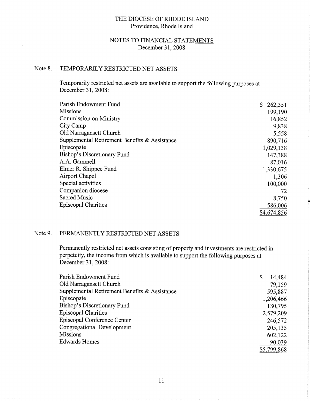# NOTES TO FINANCIAL STATEMENTS December 31, 2008

### Note 8. TEMPORARILY RESTRICTED NET ASSETS

Temporarily restricted net assets are available to support the following purposes at December 31, 2008:

| Parish Endowment Fund                         | 262,351     |
|-----------------------------------------------|-------------|
| <b>Missions</b>                               | 199,190     |
| Commission on Ministry                        | 16,852      |
| City Camp                                     | 9,838       |
| Old Narragansett Church                       | 5,558       |
| Supplemental Retirement Benefits & Assistance | 890,716     |
| Episcopate                                    | 1,029,138   |
| Bishop's Discretionary Fund                   | 147,388     |
| A.A. Gammell                                  | 87,016      |
| Elmer R. Shippee Fund                         | 1,330,675   |
| Airport Chapel                                | 1,306       |
| Special activities                            | 100,000     |
| Companion diocese                             | 72          |
| <b>Sacred Music</b>                           | 8,750       |
| <b>Episcopal Charities</b>                    | 586,006     |
|                                               | \$4,674,856 |

### Note 9. PERMANENTLY RESTRICTED NET ASSETS

Permanently restricted net assets consisting of property and investments are restricted in perpetuity, the income from which is available to support the following purposes at December 31, 2008:

| Parish Endowment Fund                         | \$<br>14,484 |
|-----------------------------------------------|--------------|
| Old Narragansett Church                       | 79,159       |
| Supplemental Retirement Benefits & Assistance | 595,887      |
| Episcopate                                    | 1,206,466    |
| Bishop's Discretionary Fund                   | 180,795      |
| <b>Episcopal Charities</b>                    | 2,579,209    |
| Episcopal Conference Center                   | 246,572      |
| <b>Congregational Development</b>             | 205,135      |
| <b>Missions</b>                               | 602,122      |
| <b>Edwards Homes</b>                          | 90,039       |
|                                               | \$5,799,868  |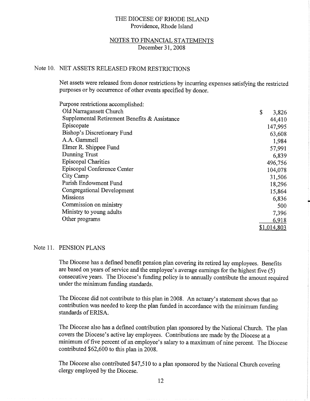# **NOTES TO FINANCIAL STATEMENTS** December 31, 2008

# Note 10. NET ASSETS RELEASED FROM RESTRICTIONS

Net assets were released from donor restrictions by incurring expenses satisfying the restricted purposes or by occurrence of other events specified by donor.

| Purpose restrictions accomplished:            |             |
|-----------------------------------------------|-------------|
| Old Narragansett Church                       | \$<br>3,826 |
| Supplemental Retirement Benefits & Assistance | 44,410      |
| Episcopate                                    | 147,995     |
| Bishop's Discretionary Fund                   | 63,608      |
| A.A. Gammell                                  | 1,984       |
| Elmer R. Shippee Fund                         | 57,991      |
| Dunning Trust                                 | 6,839       |
| <b>Episcopal Charities</b>                    | 496,756     |
| Episcopal Conference Center                   | 104,078     |
| City Camp                                     | 31,506      |
| Parish Endowment Fund                         | 18,296      |
| Congregational Development                    | 15,864      |
| <b>Missions</b>                               | 6,836       |
| Commission on ministry                        | 500         |
| Ministry to young adults                      | 7,396       |
| Other programs                                | 6,918       |
|                                               | \$1,014,803 |

## Note 11. PENSION PLANS

The Diocese has a defined benefit pension plan covering its retired lay employees. Benefits are based on years of service and the employee's average earnings for the highest five (5) consecutive years. The Diocese's funding policy is to annually contribute the amount required under the minimum funding standards.

The Diocese did not contribute to this plan in 2008. An actuary's statement shows that no contribution was needed to keep the plan funded in accordance with the minimum funding standards of ERISA.

The Diocese also has a defined contribution plan sponsored by the National Church. The plan covers the Diocese's active lay employees. Contributions are made by the Diocese at a minimum of five percent of an employee's salary to a maximum of nine percent. The Diocese contributed \$62,600 to this plan in 2008.

The Diocese also contributed \$47,510 to a plan sponsored by the National Church covering clergy employed by the Diocese.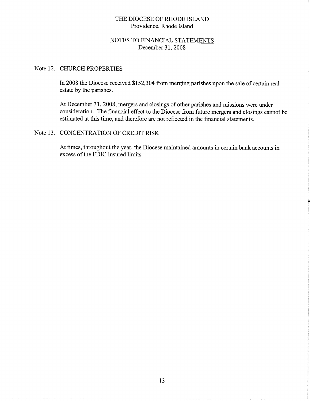# NOTES TO FINANCIAL STATEMENTS December 31, 2008

## Note 12. CHURCH PROPERTIES

In 2008 the Diocese received \$152,304 from merging parishes upon the sale of certain real estate by the parishes.

At December 31, 2008, mergers and closings of other parishes and missions were under consideration. The financial effect to the Diocese from future mergers and closings cannot be estimated at this time, and therefore are not reflected in the financial statements.

# Note 13. CONCENTRATION OF CREDIT RISK

At times, throughout the year, the Diocese maintained amounts in certain bank accounts in excess of the FDIC insured limits.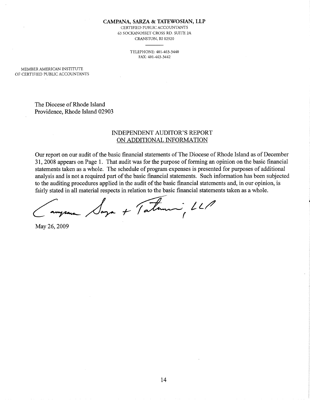### CAMPANA, SARZA & TATEWOSIAN, LLP

CERTIFIED PUBLIC ACCOUNTANTS 63 SOCKANOSSET CROSS RD. SUITE 2A CRANSTON, RI 02920

> TELEPHONE: 401-463-3440 FAX: 401-463-3442

MEMBER AMERICAN INSTITUTE OF CERTIFIED PUBLIC ACCOUNTANTS

> The Diocese of Rhode Island Providence, Rhode Island 02903

# **INDEPENDENT AUDITOR'S REPORT** ON ADDITIONAL INFORMATION

Our report on our audit of the basic financial statements of The Diocese of Rhode Island as of December 31, 2008 appears on Page 1. That audit was for the purpose of forming an opinion on the basic financial statements taken as a whole. The schedule of program expenses is presented for purposes of additional analysis and is not a required part of the basic financial statements. Such information has been subjected to the auditing procedures applied in the audit of the basic financial statements and, in our opinion, is fairly stated in all material respects in relation to the basic financial statements taken as a whole.

Jaga + Tatami LLP

May 26, 2009